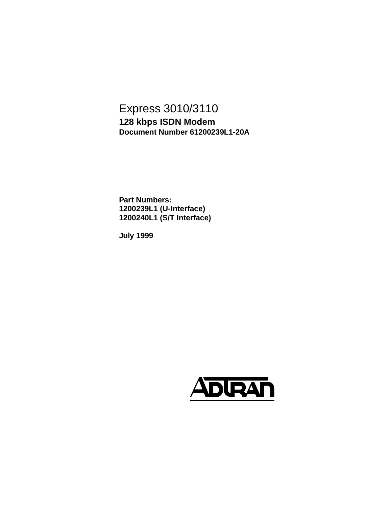# Express 3010/3110 **128 kbps ISDN Modem Document Number 61200239L1-20A**

**Part Numbers: 1200239L1 (U-Interface) 1200240L1 (S/T Interface)**

**July 1999**

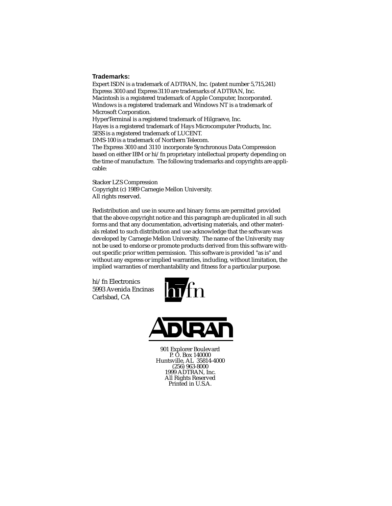#### **Trademarks:**

Expert ISDN is a trademark of ADTRAN, Inc. (patent number 5,715,241) Express 3010 and Express 3110 are trademarks of ADTRAN, Inc. Macintosh is a registered trademark of Apple Computer, Incorporated. Windows is a registered trademark and Windows NT is a trademark of Microsoft Corporation. HyperTerminal is a registered trademark of Hilgraeve, Inc.

Hayes is a registered trademark of Hays Microcomputer Products, Inc. 5ESS is a registered trademark of LUCENT.

DMS-100 is a trademark of Northern Telecom.

The Express 3010 and 3110 incorporate Synchronous Data Compression based on either IBM or hi/fn proprietary intellectual property depending on the time of manufacture. The following trademarks and copyrights are applicable:

Stacker LZS Compression Copyright (c) 1989 Carnegie Mellon University. All rights reserved.

Redistribution and use in source and binary forms are permitted provided that the above copyright notice and this paragraph are duplicated in all such forms and that any documentation, advertising materials, and other materials related to such distribution and use acknowledge that the software was developed by Carnegie Mellon University. The name of the University may not be used to endorse or promote products derived from this software without specific prior written permission. This software is provided "as is" and without any express or implied warranties, including, without limitation, the implied warranties of merchantability and fitness for a particular purpose.

hi/fn Electronics 5993 Avenida Encinas Carlsbad, CA





901 Explorer Boulevard P. O. Box 140000 Huntsville, AL 35814-4000 (256) 963-8000 1999 ADTRAN, Inc. All Rights Reserved Printed in U.S.A.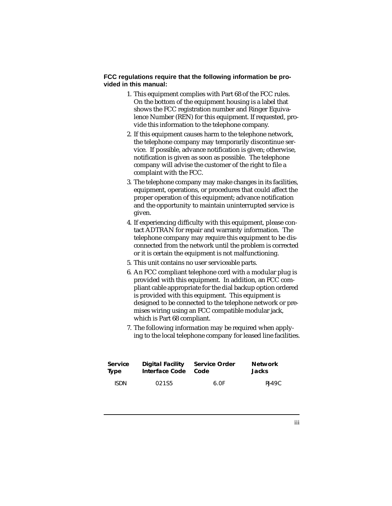#### **FCC regulations require that the following information be provided in this manual:**

- 1. This equipment complies with Part 68 of the FCC rules. On the bottom of the equipment housing is a label that shows the FCC registration number and Ringer Equivalence Number (REN) for this equipment. If requested, provide this information to the telephone company.
- 2. If this equipment causes harm to the telephone network, the telephone company may temporarily discontinue service. If possible, advance notification is given; otherwise, notification is given as soon as possible. The telephone company will advise the customer of the right to file a complaint with the FCC.
- 3. The telephone company may make changes in its facilities, equipment, operations, or procedures that could affect the proper operation of this equipment; advance notification and the opportunity to maintain uninterrupted service is given.
- 4. If experiencing difficulty with this equipment, please contact ADTRAN for repair and warranty information. The telephone company may require this equipment to be disconnected from the network until the problem is corrected or it is certain the equipment is not malfunctioning.
- 5. This unit contains no user serviceable parts.
- 6. An FCC compliant telephone cord with a modular plug is provided with this equipment. In addition, an FCC compliant cable appropriate for the dial backup option ordered is provided with this equipment. This equipment is designed to be connected to the telephone network or premises wiring using an FCC compatible modular jack, which is Part 68 compliant.
- 7. The following information may be required when applying to the local telephone company for leased line facilities.

| <b>Service</b> | <b>Digital Facility</b> | <b>Service Order</b> | <b>Network</b> |  |
|----------------|-------------------------|----------------------|----------------|--|
| <b>Type</b>    | Interface Code          | Code                 | <b>Jacks</b>   |  |
| ISDN.          | 021S5                   | 6 OF                 | $RI-49C$       |  |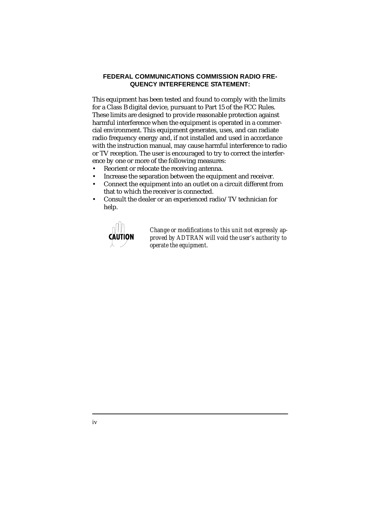#### **FEDERAL COMMUNICATIONS COMMISSION RADIO FRE-QUENCY INTERFERENCE STATEMENT:**

This equipment has been tested and found to comply with the limits for a Class B digital device, pursuant to Part 15 of the FCC Rules. These limits are designed to provide reasonable protection against harmful interference when the equipment is operated in a commercial environment. This equipment generates, uses, and can radiate radio frequency energy and, if not installed and used in accordance with the instruction manual, may cause harmful interference to radio or TV reception. The user is encouraged to try to correct the interference by one or more of the following measures:

- Reorient or relocate the receiving antenna.
- Increase the separation between the equipment and receiver.
- Connect the equipment into an outlet on a circuit different from that to which the receiver is connected.
- Consult the dealer or an experienced radio/TV technician for help.



*Change or modifications to this unit not expressly approved by ADTRAN will void the user's authority to operate the equipment.*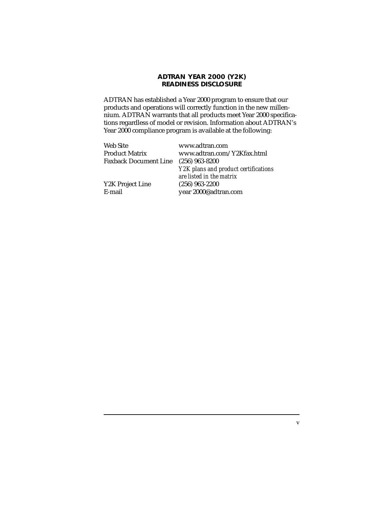## **ADTRAN YEAR 2000 (Y2K) READINESS DISCLOSURE**

ADTRAN has established a Year 2000 program to ensure that our products and operations will correctly function in the new millennium. ADTRAN warrants that all products meet Year 2000 specifications regardless of model or revision. Information about ADTRAN's Year 2000 compliance program is available at the following:

| Web Site                     | www.adtran.com                       |
|------------------------------|--------------------------------------|
| <b>Product Matrix</b>        | www.adtran.com/Y2Kfax.html           |
| <b>Faxback Document Line</b> | $(256)$ 963-8200                     |
|                              | Y2K plans and product certifications |
|                              | are listed in the matrix             |
| Y2K Project Line             | $(256)$ 963-2200                     |
| E-mail                       | year 2000@adtran.com                 |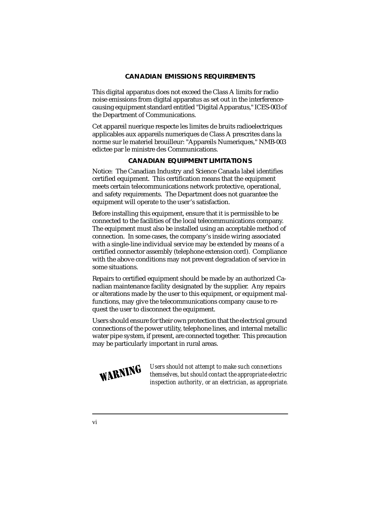## **CANADIAN EMISSIONS REQUIREMENTS**

This digital apparatus does not exceed the Class A limits for radio noise emissions from digital apparatus as set out in the interferencecausing equipment standard entitled "Digital Apparatus," ICES-003 of the Department of Communications.

Cet appareil nuerique respecte les limites de bruits radioelectriques applicables aux appareils numeriques de Class A prescrites dans la norme sur le materiel brouilleur: "Appareils Numeriques," NMB-003 edictee par le ministre des Communications.

#### **CANADIAN EQUIPMENT LIMITATIONS**

Notice: The Canadian Industry and Science Canada label identifies certified equipment. This certification means that the equipment meets certain telecommunications network protective, operational, and safety requirements. The Department does not guarantee the equipment will operate to the user's satisfaction.

Before installing this equipment, ensure that it is permissible to be connected to the facilities of the local telecommunications company. The equipment must also be installed using an acceptable method of connection. In some cases, the company's inside wiring associated with a single-line individual service may be extended by means of a certified connector assembly (telephone extension cord). Compliance with the above conditions may not prevent degradation of service in some situations.

Repairs to certified equipment should be made by an authorized Canadian maintenance facility designated by the supplier. Any repairs or alterations made by the user to this equipment, or equipment malfunctions, may give the telecommunications company cause to request the user to disconnect the equipment.

Users should ensure for their own protection that the electrical ground connections of the power utility, telephone lines, and internal metallic water pipe system, if present, are connected together. This precaution may be particularly important in rural areas.



*Users should not attempt to make such connections themselves, but should contact the appropriate electric inspection authority, or an electrician, as appropriate.*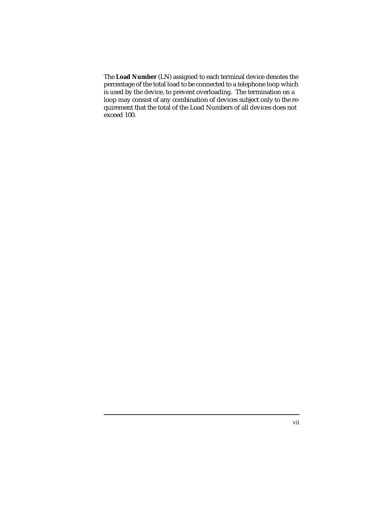The **Load Number** (LN) assigned to each terminal device denotes the percentage of the total load to be connected to a telephone loop which is used by the device, to prevent overloading. The termination on a loop may consist of any combination of devices subject only to the requirement that the total of the Load Numbers of all devices does not exceed 100.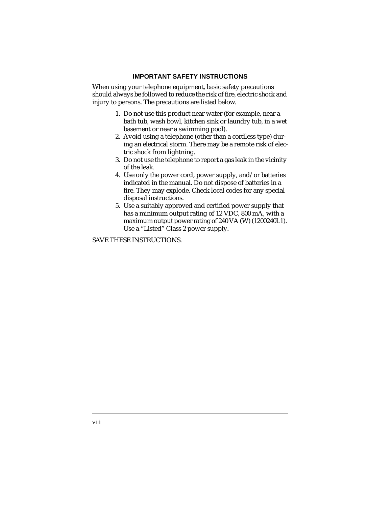### **IMPORTANT SAFETY INSTRUCTIONS**

When using your telephone equipment, basic safety precautions should always be followed to reduce the risk of fire, electric shock and injury to persons. The precautions are listed below.

- 1. Do not use this product near water (for example, near a bath tub, wash bowl, kitchen sink or laundry tub, in a wet basement or near a swimming pool).
- 2. Avoid using a telephone (other than a cordless type) during an electrical storm. There may be a remote risk of electric shock from lightning.
- 3. Do not use the telephone to report a gas leak in the vicinity of the leak.
- 4. Use only the power cord, power supply, and/or batteries indicated in the manual. Do not dispose of batteries in a fire. They may explode. Check local codes for any special disposal instructions.
- 5. Use a suitably approved and certified power supply that has a minimum output rating of 12 VDC, 800 mA, with a maximum output power rating of 240 VA (W) (1200240L1). Use a "Listed" Class 2 power supply.

SAVE THESE INSTRUCTIONS.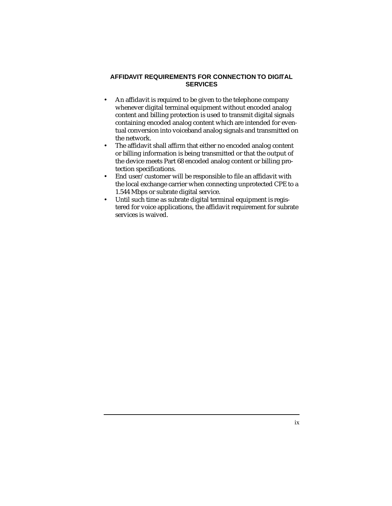### **AFFIDAVIT REQUIREMENTS FOR CONNECTION TO DIGITAL SERVICES**

- An affidavit is required to be given to the telephone company whenever digital terminal equipment without encoded analog content and billing protection is used to transmit digital signals containing encoded analog content which are intended for eventual conversion into voiceband analog signals and transmitted on the network.
- The affidavit shall affirm that either no encoded analog content or billing information is being transmitted or that the output of the device meets Part 68 encoded analog content or billing protection specifications.
- End user/customer will be responsible to file an affidavit with the local exchange carrier when connecting unprotected CPE to a 1.544 Mbps or subrate digital service.
- Until such time as subrate digital terminal equipment is registered for voice applications, the affidavit requirement for subrate services is waived.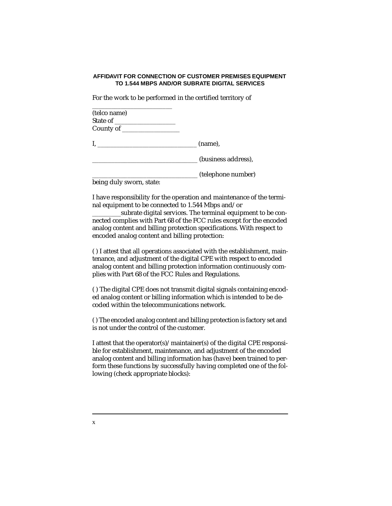#### **AFFIDAVIT FOR CONNECTION OF CUSTOMER PREMISES EQUIPMENT TO 1.544 MBPS AND/OR SUBRATE DIGITAL SERVICES**

For the work to be performed in the certified territory of

| (telco name) |  |
|--------------|--|
|              |  |
| State of     |  |
| County of    |  |

I, \_\_\_\_\_\_\_\_\_\_\_\_\_\_\_\_\_\_\_\_\_\_\_\_\_\_\_\_\_\_\_ (name),

\_\_\_\_\_\_\_\_\_\_\_\_\_\_\_\_\_\_\_\_\_\_\_\_\_\_\_\_\_\_\_\_\_ (business address),

\_\_\_\_\_\_\_\_\_\_\_\_\_\_\_\_\_\_\_\_\_\_\_\_\_\_\_\_\_\_\_\_\_ (telephone number)

being duly sworn, state:

I have responsibility for the operation and maintenance of the terminal equipment to be connected to 1.544 Mbps and/or

\_subrate digital services. The terminal equipment to be connected complies with Part 68 of the FCC rules except for the encoded analog content and billing protection specifications. With respect to encoded analog content and billing protection:

( ) I attest that all operations associated with the establishment, maintenance, and adjustment of the digital CPE with respect to encoded analog content and billing protection information continuously complies with Part 68 of the FCC Rules and Regulations.

( ) The digital CPE does not transmit digital signals containing encoded analog content or billing information which is intended to be decoded within the telecommunications network.

( ) The encoded analog content and billing protection is factory set and is not under the control of the customer.

I attest that the operator(s)/maintainer(s) of the digital CPE responsible for establishment, maintenance, and adjustment of the encoded analog content and billing information has (have) been trained to perform these functions by successfully having completed one of the following (check appropriate blocks):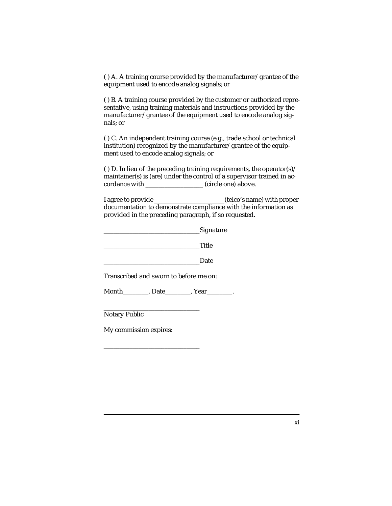( ) A. A training course provided by the manufacturer/grantee of the equipment used to encode analog signals; or

( ) B. A training course provided by the customer or authorized representative, using training materials and instructions provided by the manufacturer/grantee of the equipment used to encode analog signals; or

( ) C. An independent training course (e.g., trade school or technical institution) recognized by the manufacturer/grantee of the equipment used to encode analog signals; or

( ) D. In lieu of the preceding training requirements, the operator(s)/ maintainer(s) is (are) under the control of a supervisor trained in accordance with \_\_\_\_\_\_\_\_\_\_\_\_\_\_\_\_\_\_ (circle one) above.

I agree to provide \_\_\_\_\_\_\_\_\_\_\_\_\_\_\_\_\_\_\_\_\_\_(telco's name) with proper documentation to demonstrate compliance with the information as provided in the preceding paragraph, if so requested.

\_\_\_\_\_\_\_\_\_\_\_\_\_\_\_\_\_\_\_\_\_\_\_\_\_\_\_\_\_\_Signature

\_\_\_\_\_\_\_\_\_\_\_\_\_\_\_\_\_\_\_\_\_\_\_\_\_\_\_\_\_\_Title

\_\_\_\_\_\_\_\_\_\_\_\_\_\_\_\_\_\_\_\_\_\_\_\_\_\_\_\_\_\_Date

Transcribed and sworn to before me on:

\_\_\_\_\_\_\_\_\_\_\_\_\_\_\_\_\_\_\_\_\_\_\_\_\_\_\_\_\_\_

\_\_\_\_\_\_\_\_\_\_\_\_\_\_\_\_\_\_\_\_\_\_\_\_\_\_\_\_\_\_

Month\_\_\_\_\_\_\_\_, Date\_\_\_\_\_\_\_, Year\_\_\_\_\_\_\_.

Notary Public

My commission expires: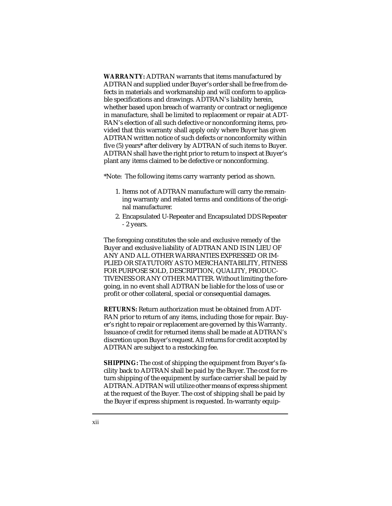**WARRANTY:** ADTRAN warrants that items manufactured by ADTRAN and supplied under Buyer's order shall be free from defects in materials and workmanship and will conform to applicable specifications and drawings. ADTRAN's liability herein, whether based upon breach of warranty or contract or negligence in manufacture, shall be limited to replacement or repair at ADT-RAN's election of all such defective or nonconforming items, provided that this warranty shall apply only where Buyer has given ADTRAN written notice of such defects or nonconformity within five (5) years\* after delivery by ADTRAN of such items to Buyer. ADTRAN shall have the right prior to return to inspect at Buyer's plant any items claimed to be defective or nonconforming.

\*Note: The following items carry warranty period as shown.

- 1. Items not of ADTRAN manufacture will carry the remaining warranty and related terms and conditions of the original manufacturer.
- 2. Encapsulated U-Repeater and Encapsulated DDS Repeater - 2 years.

The foregoing constitutes the sole and exclusive remedy of the Buyer and exclusive liability of ADTRAN AND IS IN LIEU OF ANY AND ALL OTHER WARRANTIES EXPRESSED OR IM-PLIED OR STATUTORY AS TO MERCHANTABILITY, FITNESS FOR PURPOSE SOLD, DESCRIPTION, QUALITY, PRODUC-TIVENESS OR ANY OTHER MATTER. Without limiting the foregoing, in no event shall ADTRAN be liable for the loss of use or profit or other collateral, special or consequential damages.

**RETURNS:** Return authorization must be obtained from ADT-RAN prior to return of any items, including those for repair. Buyer's right to repair or replacement are governed by this Warranty. Issuance of credit for returned items shall be made at ADTRAN's discretion upon Buyer's request. All returns for credit accepted by ADTRAN are subject to a restocking fee.

**SHIPPING:** The cost of shipping the equipment from Buyer's facility back to ADTRAN shall be paid by the Buyer. The cost for return shipping of the equipment by surface carrier shall be paid by ADTRAN. ADTRAN will utilize other means of express shipment at the request of the Buyer. The cost of shipping shall be paid by the Buyer if express shipment is requested. In-warranty equip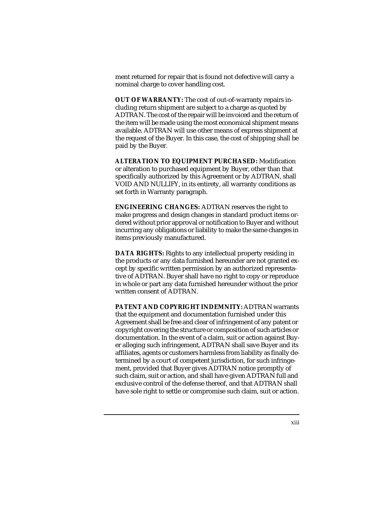ment returned for repair that is found not defective will carry a nominal charge to cover handling cost.

**OUT OF WARRANTY:** The cost of out-of-warranty repairs including return shipment are subject to a charge as quoted by ADTRAN. The cost of the repair will be invoiced and the return of the item will be made using the most economical shipment means available. ADTRAN will use other means of express shipment at the request of the Buyer. In this case, the cost of shipping shall be paid by the Buyer.

**ALTERATION TO EQUIPMENT PURCHASED:** Modification or alteration to purchased equipment by Buyer, other than that specifically authorized by this Agreement or by ADTRAN, shall VOID AND NULLIFY, in its entirety, all warranty conditions as set forth in Warranty paragraph.

**ENGINEERING CHANGES:** ADTRAN reserves the right to make progress and design changes in standard product items ordered without prior approval or notification to Buyer and without incurring any obligations or liability to make the same changes in items previously manufactured.

**DATA RIGHTS:** Rights to any intellectual property residing in the products or any data furnished hereunder are not granted except by specific written permission by an authorized representative of ADTRAN. Buyer shall have no right to copy or reproduce in whole or part any data furnished hereunder without the prior written consent of ADTRAN.

**PATENT AND COPYRIGHT INDEMNITY:** ADTRAN warrants that the equipment and documentation furnished under this Agreement shall be free and clear of infringement of any patent or copyright covering the structure or composition of such articles or documentation. In the event of a claim, suit or action against Buyer alleging such infringement, ADTRAN shall save Buyer and its affiliates, agents or customers harmless from liability as finally determined by a court of competent jurisdiction, for such infringement, provided that Buyer gives ADTRAN notice promptly of such claim, suit or action, and shall have given ADTRAN full and exclusive control of the defense thereof, and that ADTRAN shall have sole right to settle or compromise such claim, suit or action.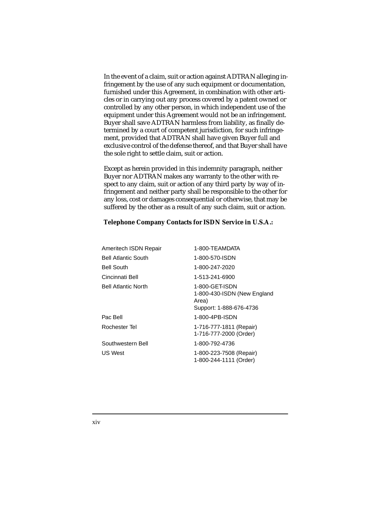In the event of a claim, suit or action against ADTRAN alleging infringement by the use of any such equipment or documentation, furnished under this Agreement, in combination with other articles or in carrying out any process covered by a patent owned or controlled by any other person, in which independent use of the equipment under this Agreement would not be an infringement. Buyer shall save ADTRAN harmless from liability, as finally determined by a court of competent jurisdiction, for such infringement, provided that ADTRAN shall have given Buyer full and exclusive control of the defense thereof, and that Buyer shall have the sole right to settle claim, suit or action.

Except as herein provided in this indemnity paragraph, neither Buyer nor ADTRAN makes any warranty to the other with respect to any claim, suit or action of any third party by way of infringement and neither party shall be responsible to the other for any loss, cost or damages consequential or otherwise, that may be suffered by the other as a result of any such claim, suit or action.

#### **Telephone Company Contacts for ISDN Service in U.S.A.:**

| Ameritech ISDN Repair      | 1-800-TEAMDATA                                                                    |
|----------------------------|-----------------------------------------------------------------------------------|
| <b>Bell Atlantic South</b> | 1-800-570-ISDN                                                                    |
| <b>Bell South</b>          | 1-800-247-2020                                                                    |
| Cincinnati Bell            | 1-513-241-6900                                                                    |
| <b>Bell Atlantic North</b> | 1-800-GET-ISDN<br>1-800-430-ISDN (New England<br>Area)<br>Support: 1-888-676-4736 |
| Pac Bell                   | 1-800-4PB-ISDN                                                                    |
| Rochester Tel              | 1-716-777-1811 (Repair)<br>1-716-777-2000 (Order)                                 |
| Southwestern Bell          | 1-800-792-4736                                                                    |
| US West                    | 1-800-223-7508 (Repair)<br>1-800-244-1111 (Order)                                 |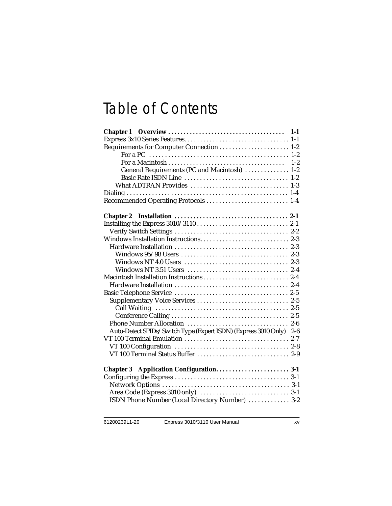# Table of Contents

|                                                                     | $1 - 2$ |  |  |  |  |  |
|---------------------------------------------------------------------|---------|--|--|--|--|--|
| General Requirements (PC and Macintosh)  1-2                        |         |  |  |  |  |  |
|                                                                     |         |  |  |  |  |  |
|                                                                     |         |  |  |  |  |  |
|                                                                     |         |  |  |  |  |  |
| Recommended Operating Protocols  1-4                                |         |  |  |  |  |  |
|                                                                     |         |  |  |  |  |  |
|                                                                     |         |  |  |  |  |  |
|                                                                     |         |  |  |  |  |  |
|                                                                     |         |  |  |  |  |  |
|                                                                     |         |  |  |  |  |  |
|                                                                     |         |  |  |  |  |  |
|                                                                     |         |  |  |  |  |  |
|                                                                     |         |  |  |  |  |  |
|                                                                     |         |  |  |  |  |  |
|                                                                     |         |  |  |  |  |  |
|                                                                     |         |  |  |  |  |  |
|                                                                     |         |  |  |  |  |  |
|                                                                     |         |  |  |  |  |  |
|                                                                     |         |  |  |  |  |  |
|                                                                     |         |  |  |  |  |  |
|                                                                     |         |  |  |  |  |  |
| Auto-Detect SPIDs/Switch Type (Expert ISDN) (Express 3010 Only) 2-6 |         |  |  |  |  |  |
|                                                                     |         |  |  |  |  |  |
|                                                                     |         |  |  |  |  |  |
| VT 100 Terminal Status Buffer  2-9                                  |         |  |  |  |  |  |
|                                                                     |         |  |  |  |  |  |
| <b>Chapter 3</b>                                                    |         |  |  |  |  |  |
|                                                                     |         |  |  |  |  |  |
|                                                                     |         |  |  |  |  |  |
|                                                                     |         |  |  |  |  |  |
| ISDN Phone Number (Local Directory Number)  3-2                     |         |  |  |  |  |  |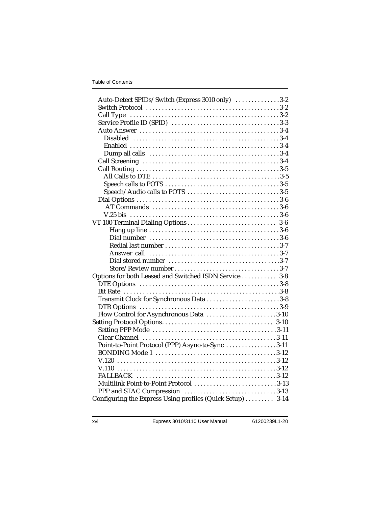| Auto-Detect SPIDs/Switch (Express 3010 only) 3-2                   |  |
|--------------------------------------------------------------------|--|
|                                                                    |  |
|                                                                    |  |
|                                                                    |  |
|                                                                    |  |
|                                                                    |  |
|                                                                    |  |
|                                                                    |  |
|                                                                    |  |
|                                                                    |  |
|                                                                    |  |
|                                                                    |  |
| Speech/Audio calls to POTS 3-5                                     |  |
|                                                                    |  |
|                                                                    |  |
|                                                                    |  |
|                                                                    |  |
|                                                                    |  |
|                                                                    |  |
|                                                                    |  |
|                                                                    |  |
|                                                                    |  |
|                                                                    |  |
| Options for both Leased and Switched ISDN Service  3-8             |  |
|                                                                    |  |
|                                                                    |  |
| Transmit Clock for Synchronous Data 3-8                            |  |
|                                                                    |  |
| Flow Control for Asynchronous Data 3-10                            |  |
|                                                                    |  |
|                                                                    |  |
|                                                                    |  |
| Point-to-Point Protocol (PPP) Async-to-Sync 3-11                   |  |
|                                                                    |  |
|                                                                    |  |
|                                                                    |  |
|                                                                    |  |
| Multilink Point-to-Point Protocol 3-13                             |  |
|                                                                    |  |
| Configuring the Express Using profiles (Quick Setup) $\ldots$ 3-14 |  |
|                                                                    |  |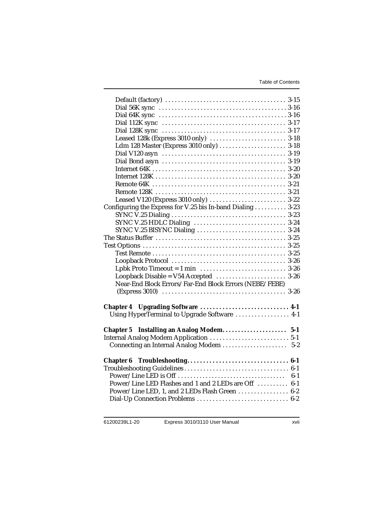| Configuring the Express for V.25 bis In-band Dialing  3-23                                             |
|--------------------------------------------------------------------------------------------------------|
|                                                                                                        |
|                                                                                                        |
|                                                                                                        |
|                                                                                                        |
|                                                                                                        |
|                                                                                                        |
|                                                                                                        |
|                                                                                                        |
| Loopback Disable = V54 Accepted  3-26                                                                  |
| Near-End Block Errors/Far-End Block Errors (NEBE/FEBE)                                                 |
| Chapter 4 Upgrading Software  4-1                                                                      |
| Using HyperTerminal to Upgrade Software  4-1                                                           |
|                                                                                                        |
| Connecting an Internal Analog Modem  5-2                                                               |
| Power/Line LED Flashes and 1 and 2 LEDs are Off  6-1<br>Power/Line LED, 1, and 2 LEDs Flash Green  6-2 |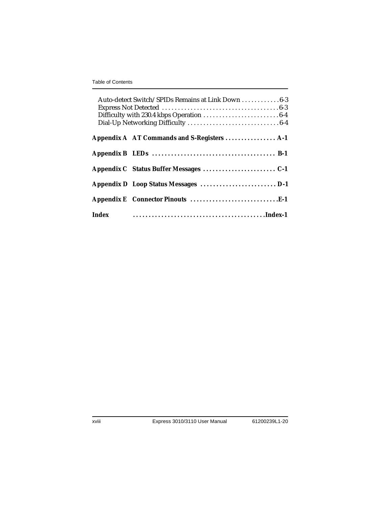| Auto-detect Switch/SPIDs Remains at Link Down  6-3 |                                             |  |  |  |  |
|----------------------------------------------------|---------------------------------------------|--|--|--|--|
|                                                    | Appendix A AT Commands and S-Registers  A-1 |  |  |  |  |
|                                                    |                                             |  |  |  |  |
|                                                    |                                             |  |  |  |  |
|                                                    |                                             |  |  |  |  |
|                                                    |                                             |  |  |  |  |
| <b>Index</b>                                       |                                             |  |  |  |  |

xviii Express 3010/3110 User Manual 61200239L1-20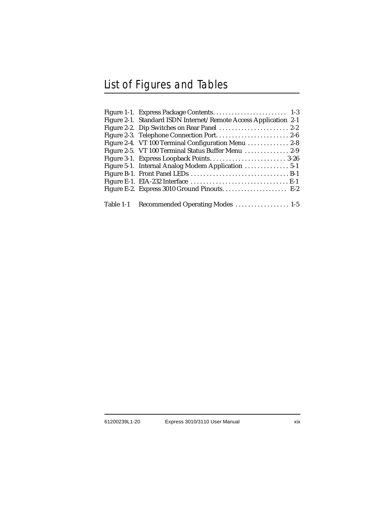# List of Figures and Tables

| Figure 2-1. Standard ISDN Internet/Remote Access Application 2-1 |
|------------------------------------------------------------------|
| Figure 2-2. Dip Switches on Rear Panel  2-2                      |
| Figure 2-3. Telephone Connection Port 2-6                        |
| Figure 2-4. VT 100 Terminal Configuration Menu  2-8              |
| Figure 2-5. VT 100 Terminal Status Buffer Menu  2-9              |
|                                                                  |
| Figure 5-1. Internal Analog Modem Application  5-1               |
|                                                                  |
|                                                                  |
|                                                                  |
|                                                                  |

|  |  |  | Table 1-1 Recommended Operating Modes  1-5 |  |  |
|--|--|--|--------------------------------------------|--|--|
|--|--|--|--------------------------------------------|--|--|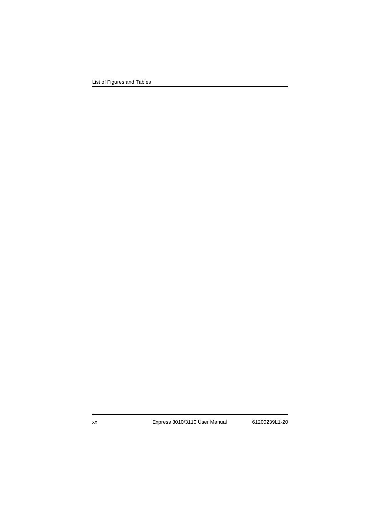List of Figures and Tables

xx Express 3010/3110 User Manual 61200239L1-20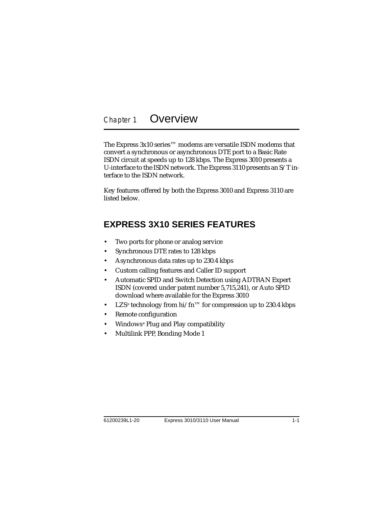# Chapter 1 **Overview**

The Express 3x10 series™ modems are versatile ISDN modems that convert a synchronous or asynchronous DTE port to a Basic Rate ISDN circuit at speeds up to 128 kbps. The Express 3010 presents a U-interface to the ISDN network. The Express 3110 presents an S/T interface to the ISDN network.

Key features offered by both the Express 3010 and Express 3110 are listed below.

# **EXPRESS 3X10 SERIES FEATURES**

- Two ports for phone or analog service
- Synchronous DTE rates to 128 kbps
- Asynchronous data rates up to 230.4 kbps
- Custom calling features and Caller ID support
- Automatic SPID and Switch Detection using ADTRAN Expert ISDN (covered under patent number 5,715,241), or Auto SPID download where available for the Express 3010
- LZS® technology from hi/fn™ for compression up to 230.4 kbps
- Remote configuration
- Windows<sup>®</sup> Plug and Play compatibility
- Multilink PPP, Bonding Mode 1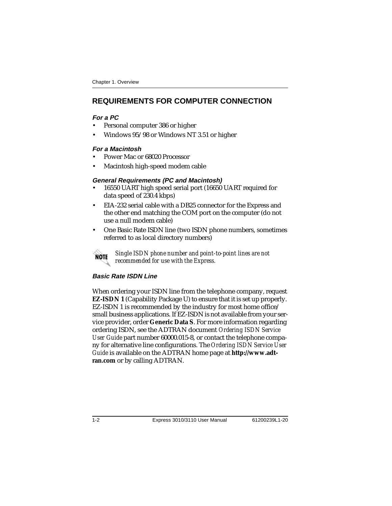## **REQUIREMENTS FOR COMPUTER CONNECTION**

#### **For a PC**

- Personal computer 386 or higher
- Windows 95/98 or Windows NT 3.51 or higher

#### **For a Macintosh**

- Power Mac or 68020 Processor
- Macintosh high-speed modem cable

## **General Requirements (PC and Macintosh)**

- 16550 UART high speed serial port (16650 UART required for data speed of 230.4 kbps)
- EIA-232 serial cable with a DB25 connector for the Express and the other end matching the COM port on the computer (do not use a null modem cable)
- One Basic Rate ISDN line (two ISDN phone numbers, sometimes referred to as local directory numbers)



*Single ISDN phone number and point-to-point lines are not recommended for use with the Express.*

## **Basic Rate ISDN Line**

When ordering your ISDN line from the telephone company, request **EZ-ISDN 1** (Capability Package U) to ensure that it is set up properly. EZ-ISDN 1 is recommended by the industry for most home office/ small business applications. If EZ-ISDN is not available from your service provider, order **Generic Data S**. For more information regarding ordering ISDN, see the ADTRAN document *Ordering ISDN Service User Guide* part number 60000.015-8, or contact the telephone company for alternative line configurations. The *Ordering ISDN Service User Guide* is available on the ADTRAN home page at **http://www.adtran.com** or by calling ADTRAN.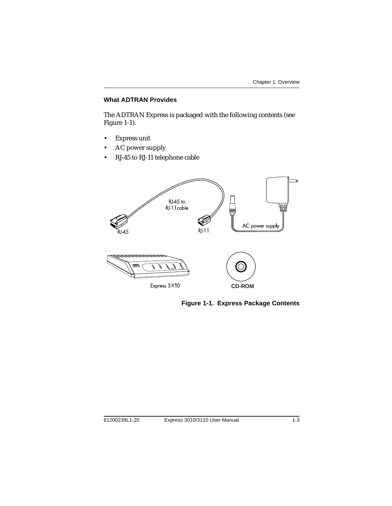## **What ADTRAN Provides**

The ADTRAN Express is packaged with the following contents (see Figure 1-1).

- Express unit
- AC power supply
- RJ-45 to RJ-11 telephone cable



**Figure 1-1. Express Package Contents**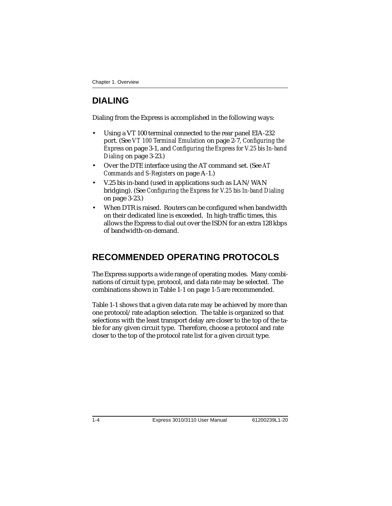## **DIALING**

Dialing from the Express is accomplished in the following ways:

- Using a VT 100 terminal connected to the rear panel EIA-232 port. (See *VT 100 Terminal Emulation* on page 2-7, *Configuring the Express* on page 3-1, and *Configuring the Express for V.25 bis In-band Dialing* on page 3-23.)
- Over the DTE interface using the AT command set. (See *AT Commands and S-Registers* on page A-1.)
- V.25 bis in-band (used in applications such as LAN/WAN bridging). (See *Configuring the Express for V.25 bis In-band Dialing* on page 3-23.)
- When DTR is raised. Routers can be configured when bandwidth on their dedicated line is exceeded. In high-traffic times, this allows the Express to dial out over the ISDN for an extra 128 kbps of bandwidth-on-demand.

## **RECOMMENDED OPERATING PROTOCOLS**

The Express supports a wide range of operating modes. Many combinations of circuit type, protocol, and data rate may be selected. The combinations shown in Table 1-1 on page 1-5 are recommended.

Table 1-1 shows that a given data rate may be achieved by more than one protocol/rate adaption selection. The table is organized so that selections with the least transport delay are closer to the top of the table for any given circuit type. Therefore, choose a protocol and rate closer to the top of the protocol rate list for a given circuit type.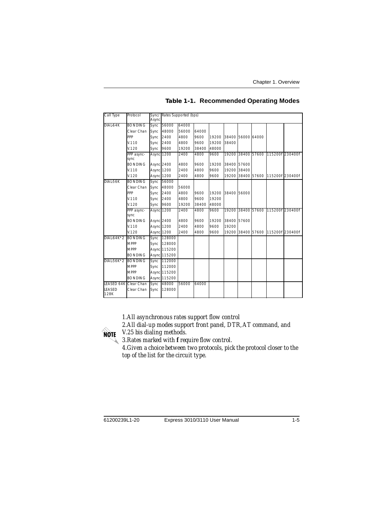| Call Type             | Protocol           | Async             |              | Sync/ Rates Supported (bps) |       |       |                   |                   |                 |                 |
|-----------------------|--------------------|-------------------|--------------|-----------------------------|-------|-------|-------------------|-------------------|-----------------|-----------------|
| DIAL-64K              | <b>BONDING</b>     | Sync              | 56000        | 64000                       |       |       |                   |                   |                 |                 |
|                       | Clear Chan         | Sync              | 48000        | 56000                       | 64000 |       |                   |                   |                 |                 |
|                       | PPP                | Sync              | 2400         | 4800                        | 9600  | 19200 | 38400 56000 64000 |                   |                 |                 |
|                       | V.110              | Sync              | 2400         | 4800                        | 9600  | 19200 | 38400             |                   |                 |                 |
|                       | V.120              | Sync              | 9600         | 19200                       | 38400 | 48000 |                   |                   |                 |                 |
|                       | PPP async-<br>sync | Async 1200        |              | 2400                        | 4800  | 9600  |                   | 19200 38400 57600 |                 | 115200f 230400f |
|                       | <b>BONDING</b>     | Async 2400        |              | 4800                        | 9600  | 19200 | 38400 57600       |                   |                 |                 |
|                       | V.110              | <b>Async</b> 1200 |              | 2400                        | 4800  | 9600  | 19200 38400       |                   |                 |                 |
|                       | V.120              | <b>Async</b> 1200 |              | 2400                        | 4800  | 9600  |                   | 19200 38400 57600 | 115200f 230400f |                 |
| DIAL-56K              | <b>BONDING</b>     | Sync              | 56000        |                             |       |       |                   |                   |                 |                 |
|                       | Clear Chan         | Sync              | 48000        | 56000                       |       |       |                   |                   |                 |                 |
|                       | PPP                | Sync              | 2400         | 4800                        | 9600  | 19200 | 38400             | 56000             |                 |                 |
|                       | V.110              | Sync              | 2400         | 4800                        | 9600  | 19200 |                   |                   |                 |                 |
|                       | V.120              | Sync              | 9600         | 19200                       | 38400 | 48000 |                   |                   |                 |                 |
|                       | PPP async-<br>sync | Async 1200        |              | 2400                        | 4800  | 9600  | 19200             | 38400 57600       |                 | 115200f 230400f |
|                       | <b>BONDING</b>     | <b>Async</b> 2400 |              | 4800                        | 9600  | 19200 | 38400 57600       |                   |                 |                 |
|                       | V.110              | <b>Async</b> 1200 |              | 2400                        | 4800  | 9600  | 19200             |                   |                 |                 |
|                       | V.120              | <b>Async</b> 1200 |              | 2400                        | 4800  | 9600  |                   | 19200 38400 57600 |                 | 115200f 230400f |
| DIAL-64K*2            | <b>BONDING</b>     | Sync              | 128000       |                             |       |       |                   |                   |                 |                 |
|                       | <b>MPPP</b>        | Sync              | 128000       |                             |       |       |                   |                   |                 |                 |
|                       | <b>MPPP</b>        |                   | Async 115200 |                             |       |       |                   |                   |                 |                 |
|                       | <b>BONDING</b>     |                   | Async 115200 |                             |       |       |                   |                   |                 |                 |
| DIAL-56K*2            | <b>BONDING</b>     | Sync              | 112000       |                             |       |       |                   |                   |                 |                 |
|                       | <b>MPPP</b>        | Sync              | 112000       |                             |       |       |                   |                   |                 |                 |
|                       | <b>MPPP</b>        |                   | Async 115200 |                             |       |       |                   |                   |                 |                 |
|                       | <b>BONDING</b>     |                   | Async 115200 |                             |       |       |                   |                   |                 |                 |
| LEASED 64K Clear Chan |                    | Sync              | 48000        | 56000                       | 64000 |       |                   |                   |                 |                 |
| <b>EASED</b><br>128K  | Clear Chan         | Sync              | 128000       |                             |       |       |                   |                   |                 |                 |

## **Table 1-1. Recommended Operating Modes**

*1.All asynchronous rates support flow control*

*2.All dial-up modes support front panel, DTR, AT command, and V.25 bis dialing methods.*



*3.Rates marked with f require flow control.*

*4.Given a choice between two protocols, pick the protocol closer to the top of the list for the circuit type.*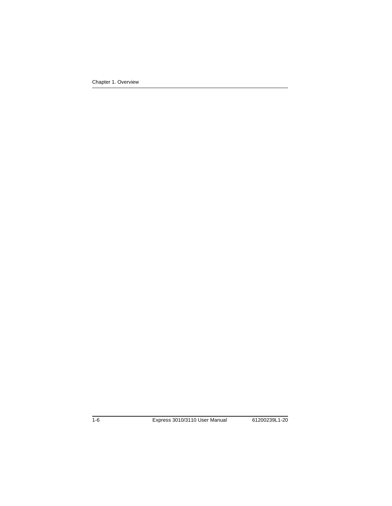Chapter 1. Overview

1-6 Express 3010/3110 User Manual 61200239L1-20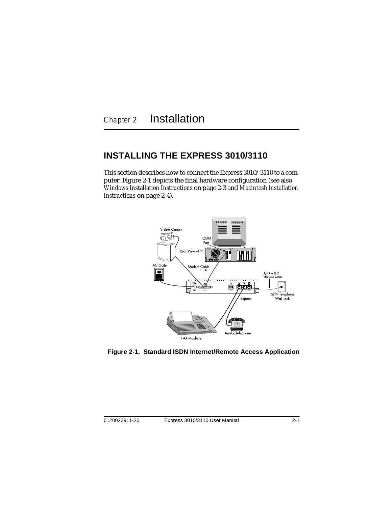# Chapter 2 Installation

## **INSTALLING THE EXPRESS 3010/3110**

This section describes how to connect the Express 3010/3110 to a computer. Figure 2-1 depicts the final hardware configuration (see also *Windows Installation Instructions* on page 2-3 and *Macintosh Installation Instructions* on page 2-4).



**Figure 2-1. Standard ISDN Internet/Remote Access Application**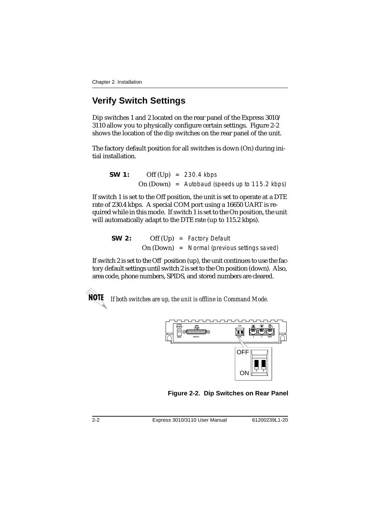## **Verify Switch Settings**

Dip switches 1 and 2 located on the rear panel of the Express 3010/ 3110 allow you to physically configure certain settings. Figure 2-2 shows the location of the dip switches on the rear panel of the unit.

The factory default position for all switches is down (On) during initial installation.

**SW 1:** Off (Up) = 230.4 kbps On (Down) = Autobaud (speeds up to 115.2 kbps)

If switch 1 is set to the Off position, the unit is set to operate at a DTE rate of 230.4 kbps. A special COM port using a 16650 UART is required while in this mode. If switch 1 is set to the On position, the unit will automatically adapt to the DTE rate (up to 115.2 kbps).

**SW 2:** Off (Up) = Factory Default On (Down) = Normal (previous settings saved)

If switch 2 is set to the Off position (up), the unit continues to use the factory default settings until switch 2 is set to the On position (down). Also, area code, phone numbers, SPIDS, and stored numbers are cleared.

NOTE *If both switches are up, the unit is offline in Command Mode.*



**Figure 2-2. Dip Switches on Rear Panel**

2-2 Express 3010/3110 User Manual 61200239L1-20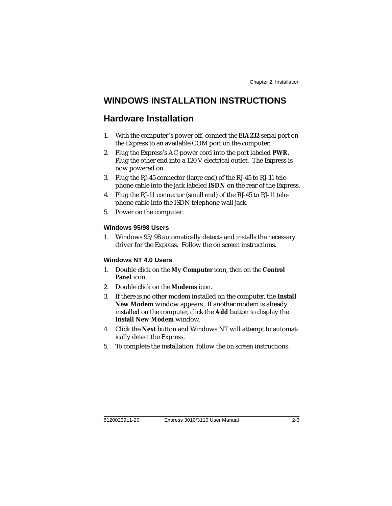## **WINDOWS INSTALLATION INSTRUCTIONS**

## **Hardware Installation**

- 1. With the computer's power off, connect the **EIA232** serial port on the Express to an available COM port on the computer.
- 2. Plug the Express's AC power cord into the port labeled **PWR**. Plug the other end into a 120 V electrical outlet. The Express is now powered on.
- 3. Plug the RJ-45 connector (large end) of the RJ-45 to RJ-11 telephone cable into the jack labeled **ISDN** on the rear of the Express.
- 4. Plug the RJ-11 connector (small end) of the RJ-45 to RJ-11 telephone cable into the ISDN telephone wall jack.
- 5. Power on the computer.

## **Windows 95/98 Users**

1. Windows 95/98 automatically detects and installs the necessary driver for the Express. Follow the on screen instructions.

#### **Windows NT 4.0 Users**

- 1. Double click on the **My Computer** icon, then on the **Control Panel** icon.
- 2. Double click on the **Modems** icon.
- 3. If there is no other modem installed on the computer, the **Install New Modem** window appears. If another modem is already installed on the computer, click the **Add** button to display the **Install New Modem** window.
- 4. Click the **Next** button and Windows NT will attempt to automatically detect the Express.
- 5. To complete the installation, follow the on screen instructions.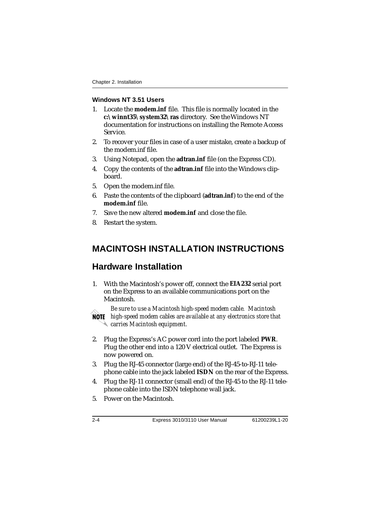#### **Windows NT 3.51 Users**

- 1. Locate the **modem.inf** file. This file is normally located in the **c:\winnt35\system32\ras** directory. See the Windows NT documentation for instructions on installing the Remote Access Service.
- 2. To recover your files in case of a user mistake, create a backup of the modem.inf file.
- 3. Using Notepad, open the **adtran.inf** file (on the Express CD).
- 4. Copy the contents of the **adtran.inf** file into the Windows clipboard.
- 5. Open the modem.inf file.
- 6. Paste the contents of the clipboard (**adtran.inf**) to the end of the **modem.inf** file.
- 7. Save the new altered **modem.inf** and close the file.
- 8. Restart the system.

## **MACINTOSH INSTALLATION INSTRUCTIONS**

## **Hardware Installation**

1. With the Macintosh's power off, connect the **EIA232** serial port on the Express to an available communications port on the Macintosh.

*Be sure to use a Macintosh high-speed modem cable. Macintosh high-speed modem cables are available at any electronics store that carries Macintosh equipment.*

- 2. Plug the Express's AC power cord into the port labeled **PWR**. Plug the other end into a 120 V electrical outlet. The Express is now powered on.
- 3. Plug the RJ-45 connector (large end) of the RJ-45-to-RJ-11 telephone cable into the jack labeled **ISDN** on the rear of the Express.
- 4. Plug the RJ-11 connector (small end) of the RJ-45 to the RJ-11 telephone cable into the ISDN telephone wall jack.
- 5. Power on the Macintosh.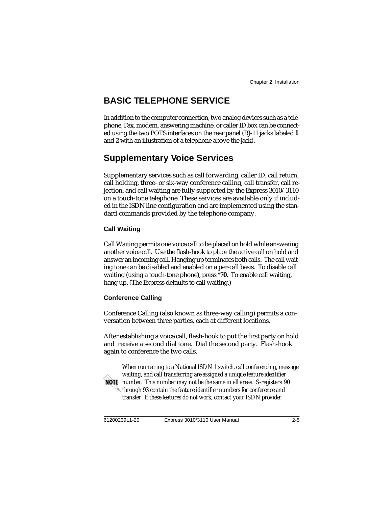# **BASIC TELEPHONE SERVICE**

In addition to the computer connection, two analog devices such as a telephone, Fax, modem, answering machine, or caller ID box can be connected using the two POTS interfaces on the rear panel (RJ-11 jacks labeled **1**  and **2** with an illustration of a telephone above the jack).

# **Supplementary Voice Services**

Supplementary services such as call forwarding, caller ID, call return, call holding, three- or six-way conference calling, call transfer, call rejection, and call waiting are fully supported by the Express 3010/3110 on a touch-tone telephone. These services are available only if included in the ISDN line configuration and are implemented using the standard commands provided by the telephone company.

## **Call Waiting**

Call Waiting permits one voice call to be placed on hold while answering another voice call. Use the flash-hook to place the active call on hold and answer an incoming call. Hanging up terminates both calls. The call waiting tone can be disabled and enabled on a per-call basis. To disable call waiting (using a touch-tone phone), press **\*70**. To enable call waiting, hang up. (The Express defaults to call waiting.)

#### **Conference Calling**

Conference Calling (also known as three-way calling) permits a conversation between three parties, each at different locations.

After establishing a voice call, flash-hook to put the first party on hold and receive a second dial tone. Dial the second party. Flash-hook again to conference the two calls.

*When connecting to a National ISDN 1 switch, call conferencing, message waiting, and call transferring are assigned a unique feature identifier number. This number may not be the same in all areas. S-registers 90 through 93 contain the feature identifier numbers for conference and transfer. If these features do not work, contact your ISDN provider.*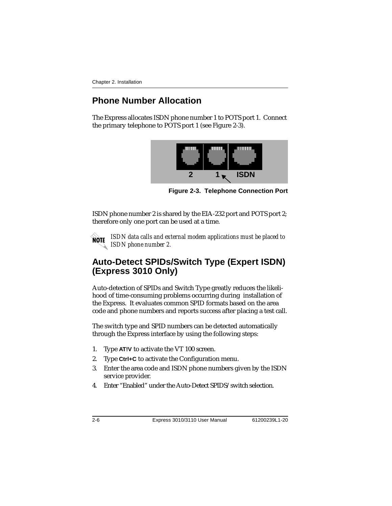Chapter 2. Installation

## **Phone Number Allocation**

The Express allocates ISDN phone number 1 to POTS port 1. Connect the primary telephone to POTS port 1 (see Figure 2-3).



**Figure 2-3. Telephone Connection Port**

ISDN phone number 2 is shared by the EIA-232 port and POTS port 2; therefore only one port can be used at a time.



*ISDN data calls and external modem applications must be placed to ISDN phone number 2.*

## **Auto-Detect SPIDs/Switch Type (Expert ISDN) (Express 3010 Only)**

Auto-detection of SPIDs and Switch Type greatly reduces the likelihood of time-consuming problems occurring during installation of the Express. It evaluates common SPID formats based on the area code and phone numbers and reports success after placing a test call.

The switch type and SPID numbers can be detected automatically through the Express interface by using the following steps:

- 1. Type **AT!V** to activate the VT 100 screen.
- 2. Type **Ctrl+C** to activate the Configuration menu.
- 3. Enter the area code and ISDN phone numbers given by the ISDN service provider.
- 4. Enter "Enabled" under the Auto-Detect SPIDS/switch selection.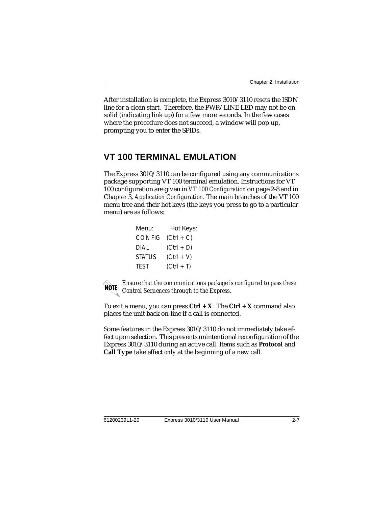After installation is complete, the Express 3010/3110 resets the ISDN line for a clean start. Therefore, the PWR/LINE LED may not be on solid (indicating link up) for a few more seconds. In the few cases where the procedure does not succeed, a window will pop up, prompting you to enter the SPIDs.

## **VT 100 TERMINAL EMULATION**

The Express 3010/3110 can be configured using any communications package supporting VT 100 terminal emulation. Instructions for VT 100 configuration are given in *VT 100 Configuration* on page 2-8 and in Chapter 3, *Application Configuration*. The main branches of the VT 100 menu tree and their hot keys (the keys you press to go to a particular menu) are as follows:

| Menu:         | Hot Keys:    |
|---------------|--------------|
| CONFIG        | $(CtrI + C)$ |
| DIAL          | $(CtrI + D)$ |
| <b>STATUS</b> | $(CtrI + V)$ |
| TFST          | $(CtrI + T)$ |
|               |              |



*Ensure that the communications package is configured to pass these Control Sequences through to the Express.*

To exit a menu, you can press **Ctrl + X**. The **Ctrl + X** command also places the unit back on-line if a call is connected.

Some features in the Express 3010/3110 do not immediately take effect upon selection. This prevents unintentional reconfiguration of the Express 3010/3110 during an active call. Items such as **Protocol** and **Call Type** take effect *only* at the beginning of a new call.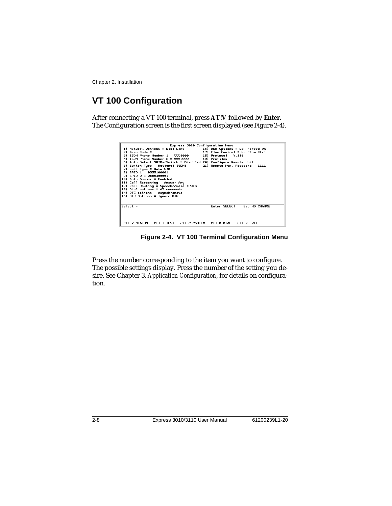Chapter 2. Installation

# **VT 100 Configuration**

After connecting a VT 100 terminal, press **AT!V** followed by **Enter.**  The Configuration screen is the first screen displayed (see Figure 2-4).

| Express 3010 Configuration Menu                   |                                                                  |                                 |  |  |  |
|---------------------------------------------------|------------------------------------------------------------------|---------------------------------|--|--|--|
|                                                   | 1) Network Options = Dial Line                                   | 16) DSR Options = DSR Forced On |  |  |  |
| 2)                                                | Area Code $=$                                                    | 17) Flow Control = No Flow Ctrl |  |  |  |
| 3)                                                | ISDN Phone Number $1 = 5551000$                                  | 18) $Protocol = V.110$          |  |  |  |
| 41                                                | ISDN Phone Number $2 = 5553000$                                  | 19) Profiles                    |  |  |  |
|                                                   | 5) Auto-Detect SPIDs/Switch = Disabled 20) Configure Remote Unit |                                 |  |  |  |
|                                                   | 6) Switch Type = National ISDN1                                  | 21) Remote Num. Password = 1111 |  |  |  |
|                                                   | 7) Call Type = Data 64K                                          |                                 |  |  |  |
|                                                   | 8) SPID $1 = 0555100001$                                         |                                 |  |  |  |
|                                                   | 9) $SPID 2 = 0555300001$                                         |                                 |  |  |  |
|                                                   | 10) Auto Answer = Enabled                                        |                                 |  |  |  |
|                                                   | 11) Call Screening = Answer Any                                  |                                 |  |  |  |
|                                                   | 12) Call Routing = Speech/Audio->POTS                            |                                 |  |  |  |
|                                                   | 13) Dial options = AT commands                                   |                                 |  |  |  |
|                                                   | 14) DTE options = Asynchronous                                   |                                 |  |  |  |
|                                                   | 15) DTR Options = Ignore DTR                                     |                                 |  |  |  |
|                                                   |                                                                  |                                 |  |  |  |
|                                                   |                                                                  |                                 |  |  |  |
| Enter SFLECT<br><b>Esc. NO CHANCE</b><br>Select = |                                                                  |                                 |  |  |  |
|                                                   |                                                                  |                                 |  |  |  |
|                                                   |                                                                  |                                 |  |  |  |
|                                                   |                                                                  |                                 |  |  |  |
|                                                   |                                                                  |                                 |  |  |  |
|                                                   | CLI-V STATUS<br>Ct1-T TEST<br>Ct1-C CONFIC                       | Ct1-D DIAL<br>CLI-X EXIT        |  |  |  |
|                                                   |                                                                  |                                 |  |  |  |

**Figure 2-4. VT 100 Terminal Configuration Menu**

Press the number corresponding to the item you want to configure. The possible settings display. Press the number of the setting you desire. See Chapter 3, *Application Configuration*, for details on configuration.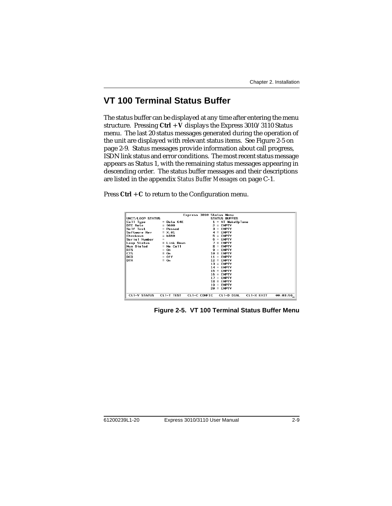## **VT 100 Terminal Status Buffer**

The status buffer can be displayed at any time after entering the menu structure. Pressing **Ctrl** + **V** displays the Express 3010/3110 Status menu. The last 20 status messages generated during the operation of the unit are displayed with relevant status items. See Figure 2-5 on page 2-9. Status messages provide information about call progress, ISDN link status and error conditions. The most recent status message appears as Status 1, with the remaining status messages appearing in descending order. The status buffer messages and their descriptions are listed in the appendix *Status Buffer Messages* on page C-1*.*

Press **Ctrl** + **C** to return to the Configuration menu.

|                  |                  | Express 3010 Status Menu                             |
|------------------|------------------|------------------------------------------------------|
| UNIT/LOOP STATUS |                  | STATUS BUFFFR                                        |
|                  |                  |                                                      |
| Call Type        | = Data 64K       | $1 = NT$ Wake Up Tone                                |
| DTE Rate         | 9600             | $2 = EMPTY$                                          |
| Self Test        | $=$ Passed       | <b>EMPTY</b><br>з<br>$\equiv$                        |
| Software Rev     | $=$ $\times$ .01 | <b>EMPTY</b><br>$\equiv$<br>4                        |
| Checksum         | $= b860$         | $=$ EMPTY<br>5                                       |
| Serial Number    | Ξ                | <b>EMPTY</b><br>6<br>÷.                              |
| Loop Status      | $=$ Link Down    | $7 = EMPTY$                                          |
| Num Dialed       | $=$ No Call      | <b>EMPTY</b><br>8<br>$\equiv$                        |
| <b>RTS</b>       | 0n<br>٠          | <b>EMPTY</b><br>9<br>$\equiv$                        |
| <b>CTS</b>       | 0n<br>Ξ          | <b>EMPTY</b><br>10<br>$\equiv$                       |
| <b>DCD</b>       | $=$ Off          | <b>EMPTY</b><br>11<br>Ξ                              |
| <b>DTR</b>       | $= 0n$           | $12 = EMPTY$                                         |
|                  |                  | 13<br><b>EMPTY</b><br>$\equiv$                       |
|                  |                  | $=$ EMPTY<br>14                                      |
|                  |                  | 15<br><b>EMPTY</b><br>$\equiv$                       |
|                  |                  | <b>EMPTY</b><br>16<br>$=$                            |
|                  |                  | 17<br><b>EMPTY</b><br>$\equiv$                       |
|                  |                  | <b>EMPTY</b><br>18<br>$\equiv$                       |
|                  |                  | $=$ EMPTY<br>19                                      |
|                  |                  | 20<br>$=$ EMPTY                                      |
|                  |                  |                                                      |
| Ct1-V STATUS     | Ct1-T TEST       | Ct1-C CONFIC<br>Ct1-D DIAL<br>Ct1-X EXIT<br>00:03:59 |

**Figure 2-5. VT 100 Terminal Status Buffer Menu**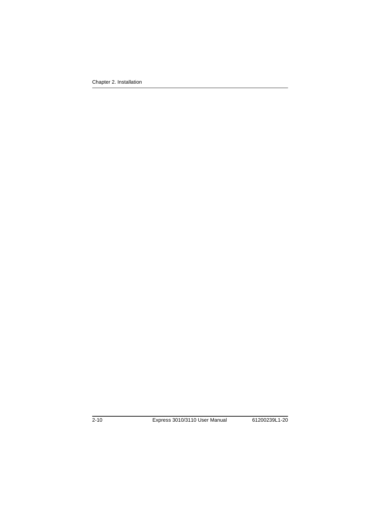Chapter 2. Installation

2-10 Express 3010/3110 User Manual 61200239L1-20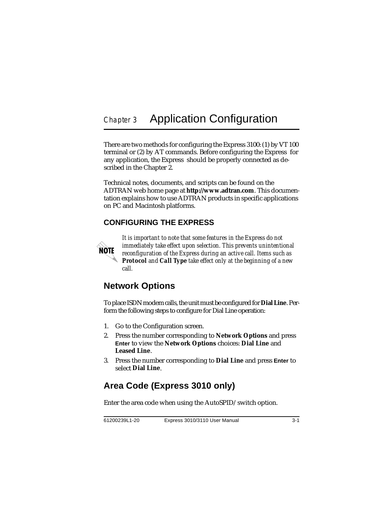# Chapter 3 Application Configuration

There are two methods for configuring the Express 3100: (1) by VT 100 terminal or (2) by AT commands. Before configuring the Express for any application, the Express should be properly connected as described in the Chapter 2.

Technical notes, documents, and scripts can be found on the ADTRAN web home page at **http://www.adtran.com**. This documentation explains how to use ADTRAN products in specific applications on PC and Macintosh platforms.

### **CONFIGURING THE EXPRESS**



*It is important to note that some features in the Express do not immediately take effect upon selection. This prevents unintentional reconfiguration of the Express during an active call. Items such as Protocol and Call Type take effect only at the beginning of a new call.*

### **Network Options**

To place ISDN modem calls, the unit must be configured for **Dial Line**. Perform the following steps to configure for Dial Line operation:

- 1. Go to the Configuration screen.
- 2. Press the number corresponding to **Network Options** and press **Enter** to view the **Network Options** choices: **Dial Line** and **Leased Line**.
- 3. Press the number corresponding to **Dial Line** and press **Enter** to select **Dial Line**.

# **Area Code (Express 3010 only)**

Enter the area code when using the AutoSPID/switch option.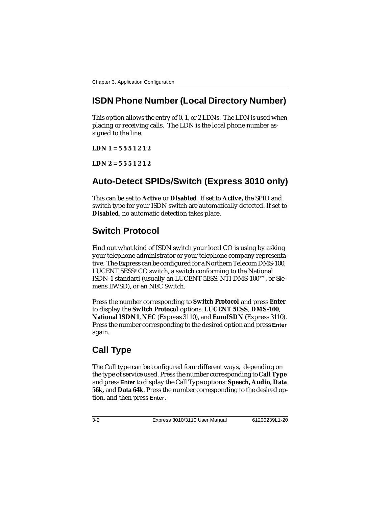# **ISDN Phone Number (Local Directory Number)**

This option allows the entry of 0, 1, or 2 LDNs. The LDN is used when placing or receiving calls. The LDN is the local phone number assigned to the line.

**LDN 1 = 5 5 5 1 2 1 2**

**LDN 2 = 5 5 5 1 2 1 2**

### **Auto-Detect SPIDs/Switch (Express 3010 only)**

This can be set to **Active** or **Disabled**. If set to **Active,** the SPID and switch type for your ISDN switch are automatically detected. If set to **Disabled**, no automatic detection takes place.

# **Switch Protocol**

Find out what kind of ISDN switch your local CO is using by asking your telephone administrator or your telephone company representative. The Express can be configured for a Northern Telecom DMS-100, LUCENT 5ESS® CO switch, a switch conforming to the National ISDN-1 standard (usually an LUCENT 5ESS, NTI DMS-100™, or Siemens EWSD), or an NEC Switch.

Press the number corresponding to **Switch Protocol** and press **Enter** to display the **Switch Protocol** options: **LUCENT 5ESS**, **DMS-100**, **National ISDN1**, **NEC** (Express 3110), and **EuroISDN** (Express 3110). Press the number corresponding to the desired option and press **Enter**  again.

# **Call Type**

The Call type can be configured four different ways, depending on the type of service used. Press the number corresponding to **Call Type** and press **Enter** to display the Call Type options: **Speech, Audio, Data 56k,** and **Data 64k**. Press the number corresponding to the desired option, and then press **Enter**.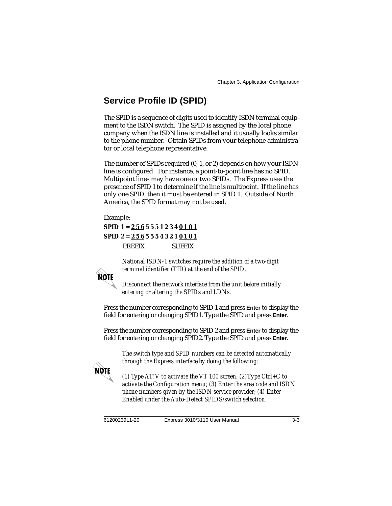### **Service Profile ID (SPID)**

The SPID is a sequence of digits used to identify ISDN terminal equipment to the ISDN switch. The SPID is assigned by the local phone company when the ISDN line is installed and it usually looks similar to the phone number. Obtain SPIDs from your telephone administrator or local telephone representative.

The number of SPIDs required (0, 1, or 2) depends on how your ISDN line is configured. For instance, a point-to-point line has no SPID. Multipoint lines may have one or two SPIDs. The Express uses the presence of SPID 1 to determine if the line is multipoint. If the line has only one SPID, then it must be entered in SPID 1. Outside of North America, the SPID format may not be used.

Example:

### **SPID 1 = 2 5 6 5 5 5 1 2 3 4 0 1 0 1 SPID 2 = 2 5 6 5 5 5 4 3 2 1 0 1 0 1** PREFIX SUFFIX

*National ISDN-1 switches require the addition of a two-digit terminal identifier (TID) at the end of the SPID.*



*Disconnect the network interface from the unit before initially entering or altering the SPIDs and LDNs.*

Press the number corresponding to SPID 1 and press **Enter** to display the field for entering or changing SPID1. Type the SPID and press **Enter**.

Press the number corresponding to SPID 2 and press **Enter** to display the field for entering or changing SPID2. Type the SPID and press **Enter**.

*The switch type and SPID numbers can be detected automatically through the Express interface by doing the following:*



*(1) Type AT!V to activate the VT 100 screen; (2) Type Ctrl+C to activate the Configuration menu; (3) Enter the area code and ISDN phone numbers given by the ISDN service provider; (4) Enter Enabled under the Auto-Detect SPIDS/switch selection.*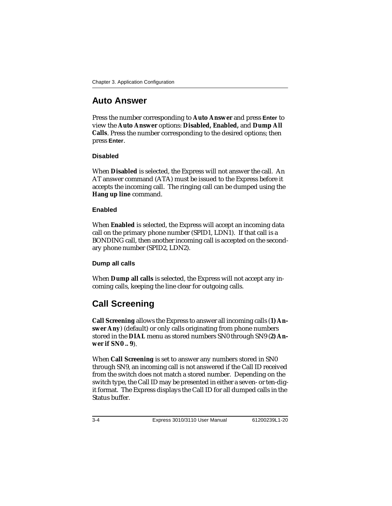## **Auto Answer**

Press the number corresponding to **Auto Answer** and press **Enter** to view the **Auto Answer** options: **Disabled, Enabled,** and **Dump All Calls**. Press the number corresponding to the desired options; then press **Enter**.

#### **Disabled**

When **Disabled** is selected, the Express will not answer the call. An AT answer command (ATA) must be issued to the Express before it accepts the incoming call. The ringing call can be dumped using the **Hang up line** command.

#### **Enabled**

When **Enabled** is selected, the Express will accept an incoming data call on the primary phone number (SPID1, LDN1). If that call is a BONDING call, then another incoming call is accepted on the secondary phone number (SPID2, LDN2).

#### **Dump all calls**

When **Dump all calls** is selected, the Express will not accept any incoming calls, keeping the line clear for outgoing calls.

# **Call Screening**

**Call Screening** allows the Express to answer all incoming calls (**1) Answer Any**) (default) or only calls originating from phone numbers stored in the **DIAL** menu as stored numbers SN0 through SN9 (**2) Anwer if SN0 .. 9**).

When **Call Screening** is set to answer any numbers stored in SN0 through SN9, an incoming call is not answered if the Call ID received from the switch does not match a stored number. Depending on the switch type, the Call ID may be presented in either a seven- or ten-digit format. The Express displays the Call ID for all dumped calls in the Status buffer.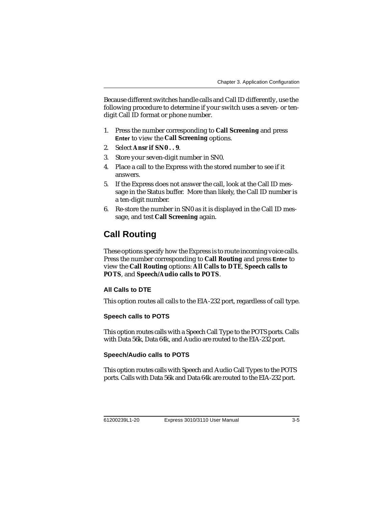Because different switches handle calls and Call ID differently, use the following procedure to determine if your switch uses a seven- or tendigit Call ID format or phone number.

- 1. Press the number corresponding to **Call Screening** and press **Enter** to view the **Call Screening** options.
- 2. Select **Ansr if SN0 . . 9**.
- 3. Store your seven-digit number in SN0.
- 4. Place a call to the Express with the stored number to see if it answers.
- 5. If the Express does not answer the call, look at the Call ID message in the Status buffer. More than likely, the Call ID number is a ten-digit number.
- 6. Re-store the number in SN0 as it is displayed in the Call ID message, and test **Call Screening** again.

### **Call Routing**

These options specify how the Express is to route incoming voice calls. Press the number corresponding to **Call Routing** and press **Enter** to view the **Call Routing** options: **All Calls to DTE**, **Speech calls to POTS**, and **Speech/Audio calls to POTS**.

#### **All Calls to DTE**

This option routes all calls to the EIA-232 port, regardless of call type.

#### **Speech calls to POTS**

This option routes calls with a Speech Call Type to the POTS ports. Calls with Data 56k, Data 64k, and Audio are routed to the EIA-232 port.

#### **Speech/Audio calls to POTS**

This option routes calls with Speech and Audio Call Types to the POTS ports. Calls with Data 56k and Data 64k are routed to the EIA-232 port.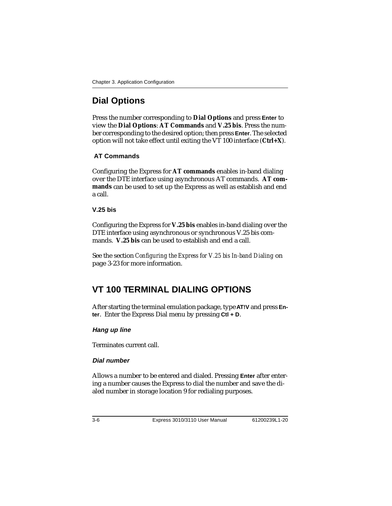# **Dial Options**

Press the number corresponding to **Dial Options** and press **Enter** to view the **Dial Options**: **AT Commands** and **V.25 bis**. Press the number corresponding to the desired option; then press **Enter**. The selected option will not take effect until exiting the VT 100 interface (**Ctrl+X**).

#### **AT Commands**

Configuring the Express for **AT commands** enables in-band dialing over the DTE interface using asynchronous AT commands. **AT commands** can be used to set up the Express as well as establish and end a call.

#### **V.25 bis**

Configuring the Express for **V.25 bis** enables in-band dialing over the DTE interface using asynchronous or synchronous V.25 bis commands. **V.25 bis** can be used to establish and end a call.

See the section *Configuring the Express for V.25 bis In-band Dialing* on page 3-23 for more information.

# **VT 100 TERMINAL DIALING OPTIONS**

After starting the terminal emulation package, type **AT!V** and press **Enter**. Enter the Express Dial menu by pressing **Ctl + D**.

#### **Hang up line**

Terminates current call.

#### **Dial number**

Allows a number to be entered and dialed. Pressing **Enter** after entering a number causes the Express to dial the number and save the dialed number in storage location 9 for redialing purposes.

3-6 Express 3010/3110 User Manual 61200239L1-20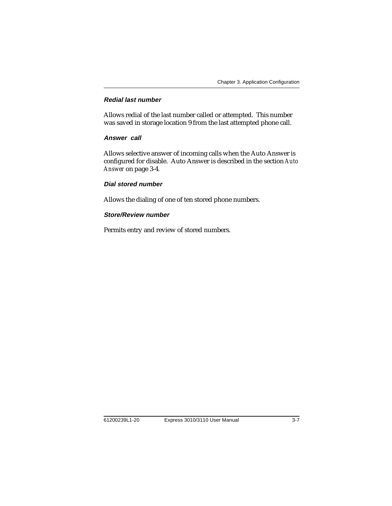#### **Redial last number**

Allows redial of the last number called or attempted. This number was saved in storage location 9 from the last attempted phone call.

#### **Answer call**

Allows selective answer of incoming calls when the Auto Answer is configured for disable. Auto Answer is described in the section *Auto Answer* on page 3-4*.*

#### **Dial stored number**

Allows the dialing of one of ten stored phone numbers.

#### **Store/Review number**

Permits entry and review of stored numbers.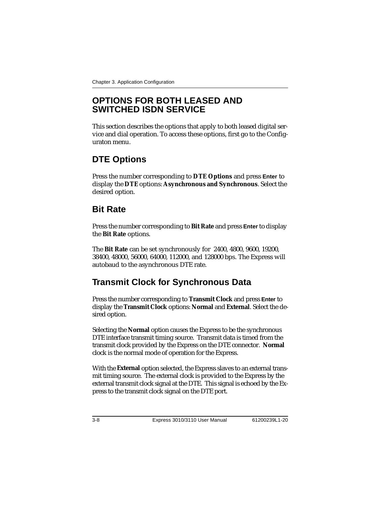### **OPTIONS FOR BOTH LEASED AND SWITCHED ISDN SERVICE**

This section describes the options that apply to both leased digital service and dial operation. To access these options, first go to the Configuraton menu.

# **DTE Options**

Press the number corresponding to **DTE Options** and press **Enter** to display the **DTE** options: **Asynchronous and Synchronous**. Select the desired option.

### **Bit Rate**

Press the number corresponding to **Bit Rate** and press **Enter** to display the **Bit Rate** options.

The **Bit Rate** can be set synchronously for 2400, 4800, 9600, 19200, 38400, 48000, 56000, 64000, 112000, and 128000 bps. The Express will autobaud to the asynchronous DTE rate.

# **Transmit Clock for Synchronous Data**

Press the number corresponding to **Transmit Clock** and press **Enter** to display the **Transmit Clock** options: **Normal** and **External**. Select the desired option.

Selecting the **Normal** option causes the Express to be the synchronous DTE interface transmit timing source. Transmit data is timed from the transmit clock provided by the Express on the DTE connector. **Normal** clock is the normal mode of operation for the Express.

With the **External** option selected, the Express slaves to an external transmit timing source. The external clock is provided to the Express by the external transmit clock signal at the DTE. This signal is echoed by the Express to the transmit clock signal on the DTE port.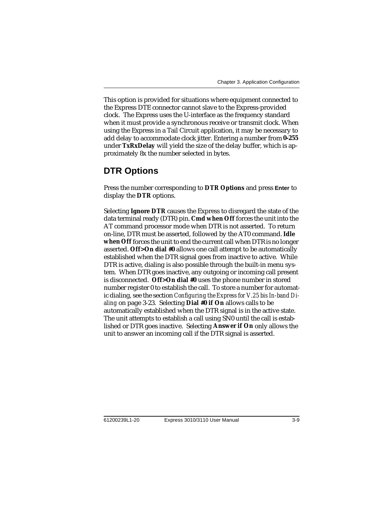This option is provided for situations where equipment connected to the Express DTE connector cannot slave to the Express-provided clock. The Express uses the U-interface as the frequency standard when it must provide a synchronous receive or transmit clock. When using the Express in a Tail Circuit application, it may be necessary to add delay to accommodate clock jitter. Entering a number from **0-255** under **TxRxDelay** will yield the size of the delay buffer, which is approximately 8x the number selected in bytes.

### **DTR Options**

Press the number corresponding to **DTR Options** and press **Enter** to display the **DTR** options.

Selecting **Ignore DTR** causes the Express to disregard the state of the data terminal ready (DTR) pin. **Cmd when Off** forces the unit into the AT command processor mode when DTR is not asserted. To return on-line, DTR must be asserted, followed by the AT0 command. **Idle when Off** forces the unit to end the current call when DTR is no longer asserted. **Off>On dial #0** allows one call attempt to be automatically established when the DTR signal goes from inactive to active. While DTR is active, dialing is also possible through the built-in menu system. When DTR goes inactive, any outgoing or incoming call present is disconnected. **Off>On dial #0** uses the phone number in stored number register 0 to establish the call. To store a number for automatic dialing, see the section *Configuring the Express for V.25 bis In-band Dialing* on page 3-23. Selecting **Dial #0 if On** allows calls to be automatically established when the DTR signal is in the active state. The unit attempts to establish a call using SN0 until the call is established or DTR goes inactive. Selecting **Answer if On** only allows the unit to answer an incoming call if the DTR signal is asserted.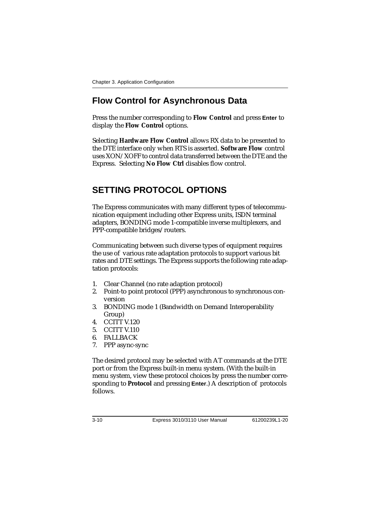### **Flow Control for Asynchronous Data**

Press the number corresponding to **Flow Control** and press **Enter** to display the **Flow Control** options.

Selecting **Hardware Flow Control** allows RX data to be presented to the DTE interface only when RTS is asserted. **Software Flow** control uses XON/XOFF to control data transferred between the DTE and the Express. Selecting **No Flow Ctrl** disables flow control.

# **SETTING PROTOCOL OPTIONS**

The Express communicates with many different types of telecommunication equipment including other Express units, ISDN terminal adapters, BONDING mode 1-compatible inverse multiplexers, and PPP-compatible bridges/routers.

Communicating between such diverse types of equipment requires the use of various rate adaptation protocols to support various bit rates and DTE settings. The Express supports the following rate adaptation protocols:

- 1. Clear Channel (no rate adaption protocol)
- 2. Point-to point protocol (PPP) asynchronous to synchronous conversion
- 3. BONDING mode 1 (Bandwidth on Demand Interoperability Group)
- 4. CCITT V.120
- 5. CCITT V.110
- 6. FALLBACK
- 7. PPP async-sync

The desired protocol may be selected with AT commands at the DTE port or from the Express built-in menu system. (With the built-in menu system, view these protocol choices by press the number corresponding to **Protocol** and pressing **Enter**.) A description of protocols follows.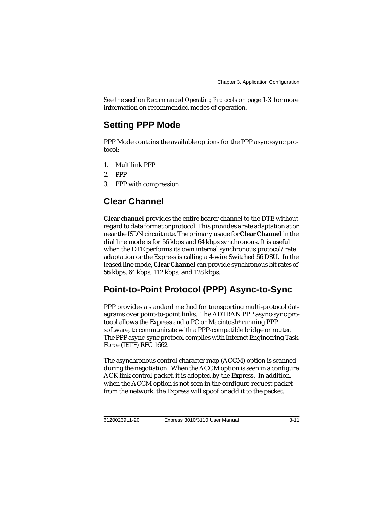See the section *Recommended Operating Protocols* on page 1-3 for more information on recommended modes of operation.

### **Setting PPP Mode**

PPP Mode contains the available options for the PPP async-sync protocol:

- 1. Multilink PPP
- 2. PPP
- 3. PPP with compression

### **Clear Channel**

**Clear channel** provides the entire bearer channel to the DTE without regard to data format or protocol. This provides a rate adaptation at or near the ISDN circuit rate. The primary usage for **Clear Channel** in the dial line mode is for 56 kbps and 64 kbps synchronous. It is useful when the DTE performs its own internal synchronous protocol/rate adaptation or the Express is calling a 4-wire Switched 56 DSU. In the leased line mode, **Clear Channel** can provide synchronous bit rates of 56 kbps, 64 kbps, 112 kbps, and 128 kbps.

# **Point-to-Point Protocol (PPP) Async-to-Sync**

PPP provides a standard method for transporting multi-protocol datagrams over point-to-point links. The ADTRAN PPP async-sync protocol allows the Express and a PC or Macintosh® running PPP software, to communicate with a PPP-compatible bridge or router. The PPP async-sync protocol complies with Internet Engineering Task Force (IETF) RFC 1662.

The asynchronous control character map (ACCM) option is scanned during the negotiation. When the ACCM option is seen in a configure ACK link control packet, it is adopted by the Express. In addition, when the ACCM option is not seen in the configure-request packet from the network, the Express will spoof or add it to the packet.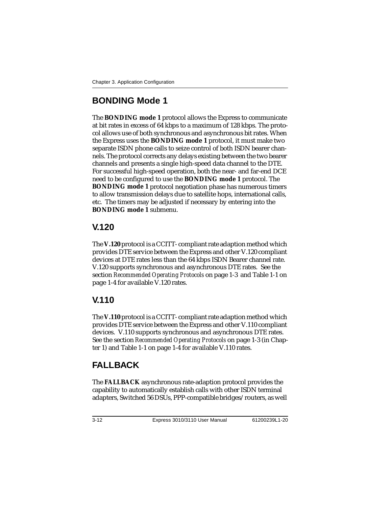# **BONDING Mode 1**

The **BONDING mode 1** protocol allows the Express to communicate at bit rates in excess of 64 kbps to a maximum of 128 kbps. The protocol allows use of both synchronous and asynchronous bit rates. When the Express uses the **BONDING mode 1** protocol, it must make two separate ISDN phone calls to seize control of both ISDN bearer channels. The protocol corrects any delays existing between the two bearer channels and presents a single high-speed data channel to the DTE. For successful high-speed operation, both the near- and far-end DCE need to be configured to use the **BONDING mode 1** protocol. The **BONDING mode 1** protocol negotiation phase has numerous timers to allow transmission delays due to satellite hops, international calls, etc. The timers may be adjusted if necessary by entering into the **BONDING mode 1** submenu.

### **V.120**

The **V.120** protocol is a CCITT- compliant rate adaption method which provides DTE service between the Express and other V.120 compliant devices at DTE rates less than the 64 kbps ISDN Bearer channel rate. V.120 supports synchronous and asynchronous DTE rates. See the section *Recommended Operating Protocols* on page 1-3 and Table 1-1 on page 1-4 for available V.120 rates.

### **V.110**

The **V.110** protocol is a CCITT- compliant rate adaption method which provides DTE service between the Express and other V.110 compliant devices. V.110 supports synchronous and asynchronous DTE rates. See the section *Recommended Operating Protocols* on page 1-3 (in Chapter 1) and Table 1-1 on page 1-4 for available V.110 rates.

# **FALLBACK**

The **FALLBACK** asynchronous rate-adaption protocol provides the capability to automatically establish calls with other ISDN terminal adapters, Switched 56 DSUs, PPP-compatible bridges/routers, as well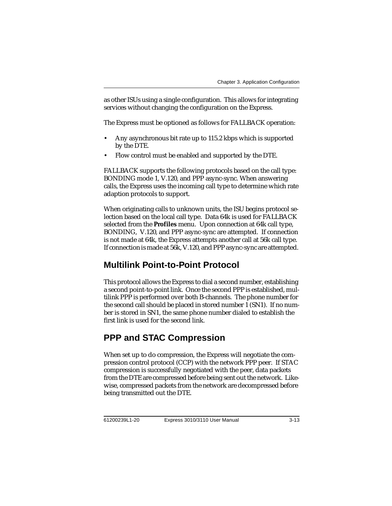as other ISUs using a single configuration. This allows for integrating services without changing the configuration on the Express.

The Express must be optioned as follows for FALLBACK operation:

- Any asynchronous bit rate up to 115.2 kbps which is supported by the DTE.
- Flow control must be enabled and supported by the DTE.

FALLBACK supports the following protocols based on the call type: BONDING mode 1, V.120, and PPP async-sync. When answering calls, the Express uses the incoming call type to determine which rate adaption protocols to support.

When originating calls to unknown units, the ISU begins protocol selection based on the local call type. Data 64k is used for FALLBACK selected from the **Profiles** menu. Upon connection at 64k call type, BONDING, V.120, and PPP async-sync are attempted. If connection is not made at 64k, the Express attempts another call at 56k call type. If connection is made at 56k, V.120, and PPP async-sync are attempted.

### **Multilink Point-to-Point Protocol**

This protocol allows the Express to dial a second number, establishing a second point-to-point link. Once the second PPP is established, multilink PPP is performed over both B-channels. The phone number for the second call should be placed in stored number 1 (SN1). If no number is stored in SN1, the same phone number dialed to establish the first link is used for the second link.

### **PPP and STAC Compression**

When set up to do compression, the Express will negotiate the compression control protocol (CCP) with the network PPP peer. If STAC compression is successfully negotiated with the peer, data packets from the DTE are compressed before being sent out the network. Likewise, compressed packets from the network are decompressed before being transmitted out the DTE.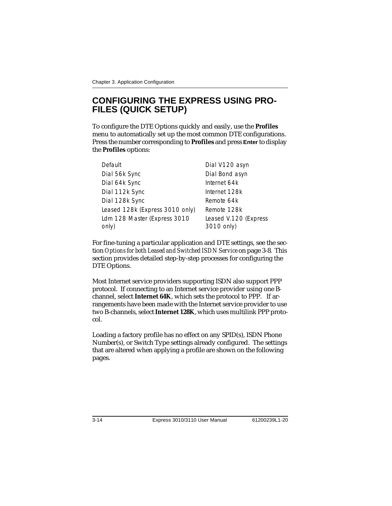### **CONFIGURING THE EXPRESS USING PRO-FILES (QUICK SETUP)**

To configure the DTE Options quickly and easily, use the **Profiles**  menu to automatically set up the most common DTE configurations. Press the number corresponding to **Profiles** and press **Enter** to display the **Profiles** options:

| Default                         | Dial V120 asyn        |
|---------------------------------|-----------------------|
| Dial 56k Sync                   | Dial Bond asyn        |
| Dial 64k Sync                   | Internet 64k          |
| Dial 112k Sync                  | Internet 128k         |
| Dial 128k Sync                  | Remote 64k            |
| Leased 128k (Express 3010 only) | Remote 128k           |
| Ldm 128 Master (Express 3010    | Leased V.120 (Express |
| only)                           | 3010 only)            |

For fine-tuning a particular application and DTE settings, see the section *Options for both Leased and Switched ISDN Service* on page 3-8*.* This section provides detailed step-by-step processes for configuring the DTE Options.

Most Internet service providers supporting ISDN also support PPP protocol. If connecting to an Internet service provider using one Bchannel, select **Internet 64K**, which sets the protocol to PPP. If arrangements have been made with the Internet service provider to use two B-channels, select **Internet 128K**, which uses multilink PPP protocol.

Loading a factory profile has no effect on any SPID(s), ISDN Phone Number(s), or Switch Type settings already configured. The settings that are altered when applying a profile are shown on the following pages.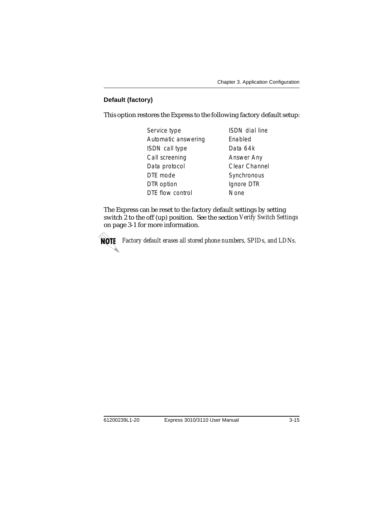#### **Default (factory)**

This option restores the Express to the following factory default setup:

| Service type          | <b>ISDN</b> dial line |
|-----------------------|-----------------------|
| Automatic answering   | Enabled               |
| <b>ISDN</b> call type | Data 64k              |
| Call screening        | Answer Any            |
| Data protocol         | Clear Channel         |
| DTE mode              | Synchronous           |
| DTR option            | Ignore DTR            |
| DTE flow control      | None                  |

The Express can be reset to the factory default settings by setting switch 2 to the off (up) position. See the section *Verify Switch Settings* on page 3-1 for more information.

*Factory default erases all stored phone numbers, SPIDs, and LDNs.*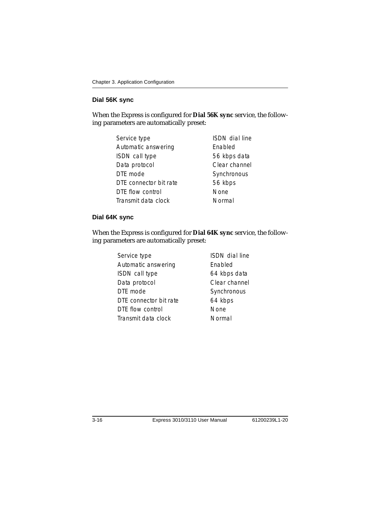#### **Dial 56K sync**

When the Express is configured for **Dial 56K sync** service, the following parameters are automatically preset:

| Service type           | <b>ISDN</b> dial line |
|------------------------|-----------------------|
| Automatic answering    | Enabled               |
| ISDN call type         | 56 kbps data          |
| Data protocol          | Clear channel         |
| DTE mode               | Synchronous           |
| DTE connector bit rate | 56 kbps               |
| DTE flow control       | <b>None</b>           |
| Transmit data clock    | Normal                |

### **Dial 64K sync**

When the Express is configured for **Dial 64K sync** service, the following parameters are automatically preset:

| Service type           | <b>ISDN</b> dial line |
|------------------------|-----------------------|
| Automatic answering    | Enabled               |
| ISDN call type         | 64 kbps data          |
| Data protocol          | Clear channel         |
| DTE mode               | Synchronous           |
| DTE connector bit rate | 64 kbps               |
| DTE flow control       | None                  |
| Transmit data clock    | Normal                |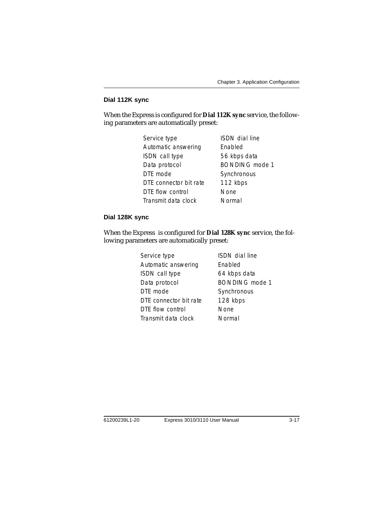#### **Dial 112K sync**

When the Express is configured for **Dial 112K sync** service, the following parameters are automatically preset:

| Service type           | <b>ISDN</b> dial line |
|------------------------|-----------------------|
| Automatic answering    | Enabled               |
| ISDN call type         | 56 kbps data          |
| Data protocol          | <b>BONDING mode 1</b> |
| DTE mode               | Synchronous           |
| DTE connector bit rate | 112 kbps              |
| DTE flow control       | None                  |
| Transmit data clock    | Normal                |

### **Dial 128K sync**

When the Express is configured for **Dial 128K sync** service, the following parameters are automatically preset:

| Service type           | <b>ISDN</b> dial line |
|------------------------|-----------------------|
| Automatic answering    | Enabled               |
| ISDN call type         | 64 kbps data          |
| Data protocol          | <b>BONDING mode 1</b> |
| DTE mode               | Synchronous           |
| DTE connector bit rate | 128 kbps              |
| DTE flow control       | None                  |
| Transmit data clock    | Normal                |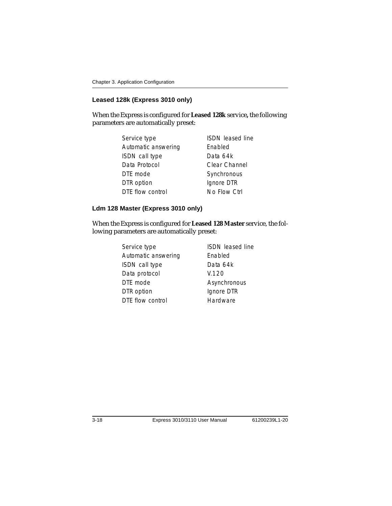#### **Leased 128k (Express 3010 only)**

When the Express is configured for **Leased 128k** service**,** the following parameters are automatically preset:

| Service type        | <b>ISDN</b> leased line |
|---------------------|-------------------------|
| Automatic answering | Enabled                 |
| ISDN call type      | Data 64k                |
| Data Protocol       | Clear Channel           |
| DTE mode            | Synchronous             |
| DTR option          | Ignore DTR              |
| DTE flow control    | No Flow Ctrl            |
|                     |                         |

#### **Ldm 128 Master (Express 3010 only)**

When the Express is configured for **Leased 128 Master** service, the following parameters are automatically preset:

| Service type        | <b>ISDN</b> leased line |
|---------------------|-------------------------|
| Automatic answering | Enabled                 |
| ISDN call type      | Data 64k                |
| Data protocol       | V.120                   |
| DTE mode            | Asynchronous            |
| DTR option          | Ignore DTR              |
| DTE flow control    | Hardware                |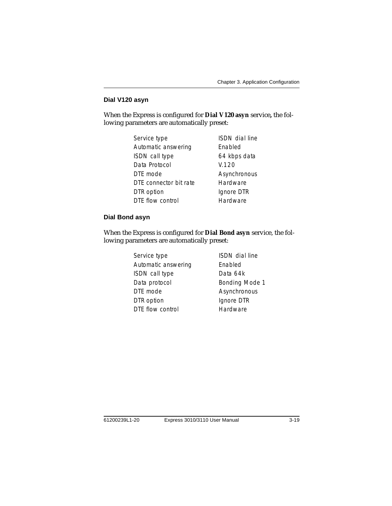#### **Dial V120 asyn**

When the Express is configured for **Dial V120 asyn** service**,** the following parameters are automatically preset:

| Service type           | <b>ISDN</b> dial line |
|------------------------|-----------------------|
| Automatic answering    | Enabled               |
| <b>ISDN</b> call type  | 64 kbps data          |
| Data Protocol          | V.120                 |
| DTE mode               | Asynchronous          |
| DTE connector bit rate | Hardware              |
| DTR option             | Ignore DTR            |
| DTE flow control       | Hardware              |

#### **Dial Bond asyn**

When the Express is configured for **Dial Bond asyn** service, the following parameters are automatically preset:

| Service type        |
|---------------------|
| Automatic answering |
| ISDN call type      |
| Data protocol       |
| DTE mode            |
| DTR option          |
| DTE flow control    |

ISDN dial line Enabled Data 64k Bonding Mode 1 Asynchronous Ignore DTR Hardware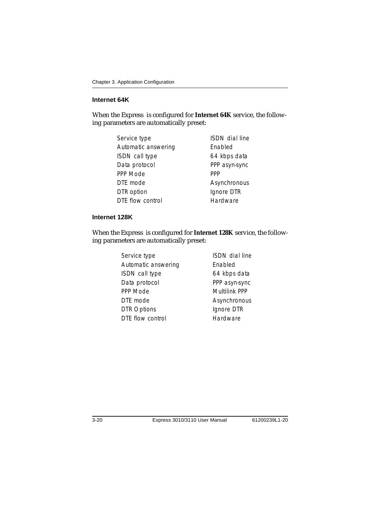#### **Internet 64K**

When the Express is configured for **Internet 64K** service, the following parameters are automatically preset:

| Service type          | <b>ISDN</b> dial line |
|-----------------------|-----------------------|
| Automatic answering   | Enabled               |
| <b>ISDN</b> call type | 64 kbps data          |
| Data protocol         | PPP asyn-sync         |
| PPP Mode              | <b>PPP</b>            |
| DTE mode              | Asynchronous          |
| DTR option            | Ignore DTR            |
| DTE flow control      | Hardware              |

#### **Internet 128K**

When the Express is configured for **Internet 128K** service, the following parameters are automatically preset:

| Service type          | <b>ISDN</b> dial line |
|-----------------------|-----------------------|
| Automatic answering   | Enabled               |
| <b>ISDN</b> call type | 64 kbps data          |
| Data protocol         | PPP asyn-sync         |
| PPP Mode              | Multilink PPP         |
| DTE mode              | Asynchronous          |
| DTR Options           | Ignore DTR            |
| DTE flow control      | Hardware              |

3-20 Express 3010/3110 User Manual 61200239L1-20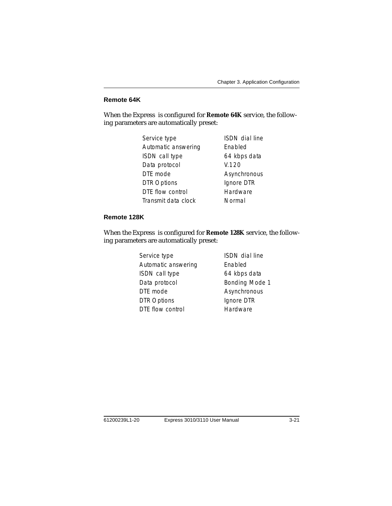#### **Remote 64K**

When the Express is configured for **Remote 64K** service, the following parameters are automatically preset:

| Service type          | <b>ISDN</b> dial line |
|-----------------------|-----------------------|
| Automatic answering   | Enabled               |
| <b>ISDN</b> call type | 64 kbps data          |
| Data protocol         | V.120                 |
| DTE mode              | Asynchronous          |
| <b>DTR Options</b>    | Ignore DTR            |
| DTE flow control      | Hardware              |
| Transmit data clock   | Normal                |

#### **Remote 128K**

When the Express is configured for **Remote 128K** service, the following parameters are automatically preset:

| Service type        | <b>ISDN</b> dial line |
|---------------------|-----------------------|
| Automatic answering | Enabled               |
| ISDN call type      | 64 kbps data          |
| Data protocol       | Bonding Mode 1        |
| DTE mode            | Asynchronous          |
| <b>DTR Options</b>  | Ignore DTR            |
| DTE flow control    | Hardware              |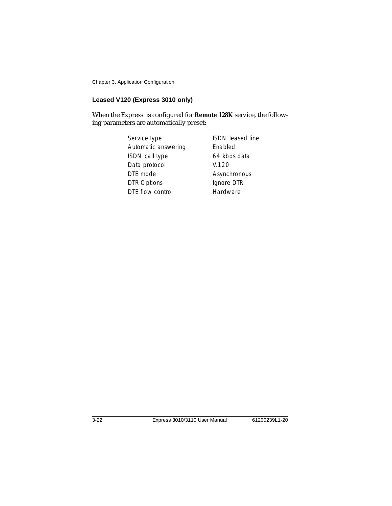### **Leased V120 (Express 3010 only)**

When the Express is configured for **Remote 128K** service, the following parameters are automatically preset:

| Service type        | <b>ISDN</b> leased line |
|---------------------|-------------------------|
| Automatic answering | Enabled                 |
| ISDN call type      | 64 kbps data            |
| Data protocol       | V.120                   |
| DTE mode            | Asynchronous            |
| DTR Options         | Ignore DTR              |
| DTE flow control    | Hardware                |

3-22 Express 3010/3110 User Manual 61200239L1-20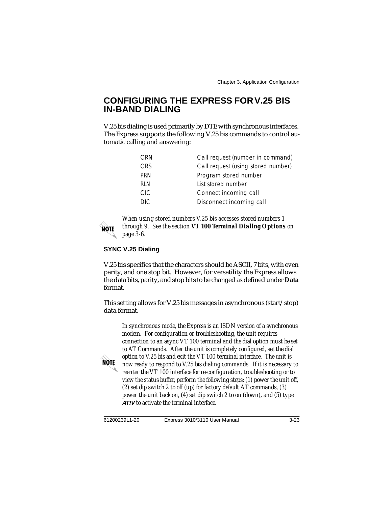### **CONFIGURING THE EXPRESS FOR V.25 BIS IN-BAND DIALING**

V.25 bis dialing is used primarily by DTE with synchronous interfaces. The Express supports the following V.25 bis commands to control automatic calling and answering:

| <b>CRN</b> | Call request (number in command)   |
|------------|------------------------------------|
| <b>CRS</b> | Call request (using stored number) |
| <b>PRN</b> | Program stored number              |
| <b>RLN</b> | List stored number                 |
| CIC.       | Connect incoming call              |
| <b>DIC</b> | Disconnect incoming call           |



*When using stored numbers V.25 bis accesses stored numbers 1 through 9. See the section VT 100 Terminal Dialing Options on page 3-6.*

#### **SYNC V.25 Dialing**

V.25 bis specifies that the characters should be ASCII, 7 bits, with even parity, and one stop bit. However, for versatility the Express allows the data bits, parity, and stop bits to be changed as defined under **Data**  format.

This setting allows for V.25 bis messages in asynchronous (start/stop) data format.

*In synchronous mode, the Express is an ISDN version of a synchronous modem. For configuration or troubleshooting, the unit requires connection to an async VT 100 terminal and the dial option must be set to AT Commands. After the unit is completely configured, set the dial option to V.25 bis and exit the VT 100 terminal interface. The unit is* 

**NOTE** 

*now ready to respond to V.25 bis dialing commands. If it is necessary to reenter the VT 100 interface for re-configuration, troubleshooting or to view the status buffer, perform the following steps: (1) power the unit off, (2) set dip switch 2 to off (up) for factory default AT commands, (3) power the unit back on, (4) set dip switch 2 to on (down), and (5) type*  **AT!V** *to activate the terminal interface.*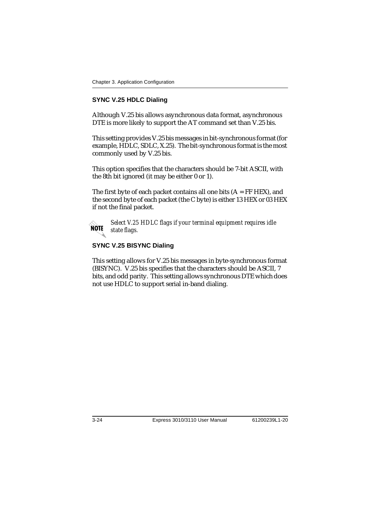#### **SYNC V.25 HDLC Dialing**

Although V.25 bis allows asynchronous data format, asynchronous DTE is more likely to support the AT command set than V.25 bis.

This setting provides V.25 bis messages in bit-synchronous format (for example, HDLC, SDLC, X.25). The bit-synchronous format is the most commonly used by V.25 bis.

This option specifies that the characters should be 7-bit ASCII, with the 8th bit ignored (it may be either 0 or 1).

The first byte of each packet contains all one bits  $(A = FF HEX)$ , and the second byte of each packet (the C byte) is either 13 HEX or 03 HEX if not the final packet.



*Select V.25 HDLC flags if your terminal equipment requires idle state flags.*

#### **SYNC V.25 BISYNC Dialing**

This setting allows for V.25 bis messages in byte-synchronous format (BISYNC). V.25 bis specifies that the characters should be ASCII, 7 bits, and odd parity. This setting allows synchronous DTE which does not use HDLC to support serial in-band dialing.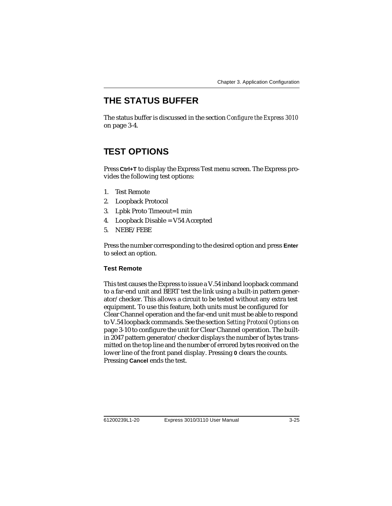## **THE STATUS BUFFER**

The status buffer is discussed in the section *Configure the Express 3010* on page 3-4.

# **TEST OPTIONS**

Press **Ctrl+T** to display the Express Test menu screen. The Express provides the following test options:

- 1. Test Remote
- 2. Loopback Protocol
- 3. Lpbk Proto Timeout=1 min
- 4. Loopback Disable = V54 Accepted
- 5. NEBE/FEBE

Press the number corresponding to the desired option and press **Enter**  to select an option.

#### **Test Remote**

This test causes the Express to issue a V.54 inband loopback command to a far-end unit and BERT test the link using a built-in pattern generator/checker. This allows a circuit to be tested without any extra test equipment. To use this feature, both units must be configured for Clear Channel operation and the far-end unit must be able to respond to V.54 loopback commands. See the section *Setting Protocol Options* on page 3-10 to configure the unit for Clear Channel operation. The builtin 2047 pattern generator/checker displays the number of bytes transmitted on the top line and the number of errored bytes received on the lower line of the front panel display. Pressing **0** clears the counts. Pressing **Cancel** ends the test.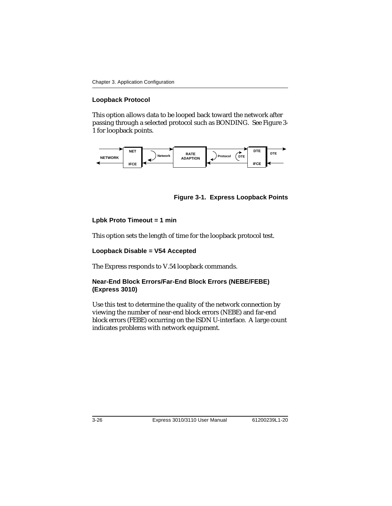#### **Loopback Protocol**

This option allows data to be looped back toward the network after passing through a selected protocol such as BONDING. See Figure 3- 1 for loopback points.



**Figure 3-1. Express Loopback Points**

#### **Lpbk Proto Timeout = 1 min**

This option sets the length of time for the loopback protocol test.

#### **Loopback Disable = V54 Accepted**

The Express responds to V.54 loopback commands.

#### **Near-End Block Errors/Far-End Block Errors (NEBE/FEBE) (Express 3010)**

Use this test to determine the quality of the network connection by viewing the number of near-end block errors (NEBE) and far-end block errors (FEBE) occurring on the ISDN U-interface. A large count indicates problems with network equipment.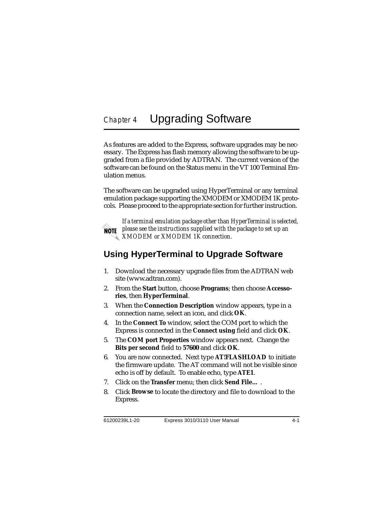# Chapter 4 Upgrading Software

As features are added to the Express, software upgrades may be necessary. The Express has flash memory allowing the software to be upgraded from a file provided by ADTRAN. The current version of the software can be found on the Status menu in the VT 100 Terminal Emulation menus.

The software can be upgraded using HyperTerminal or any terminal emulation package supporting the XMODEM or XMODEM 1K protocols. Please proceed to the appropriate section for further instruction.



*If a terminal emulation package other than HyperTerminal is selected, please see the instructions supplied with the package to set up an XMODEM or XMODEM 1K connection.*

# **Using HyperTerminal to Upgrade Software**

- 1. Download the necessary upgrade files from the ADTRAN web site (www.adtran.com).
- 2. From the **Start** button, choose **Programs**; then choose **Accessories**, then **HyperTerminal**.
- 3. When the **Connection Description** window appears, type in a connection name, select an icon, and click **OK**.
- 4. In the **Connect To** window, select the COM port to which the Express is connected in the **Connect using** field and click **OK**.
- 5. The **COM port Properties** window appears next. Change the **Bits per second** field to **57600** and click **OK**.
- 6. You are now connected. Next type **AT!FLASHLOAD** to initiate the firmware update. The AT command will not be visible since echo is off by default. To enable echo, type **ATE1**.
- 7. Click on the **Transfer** menu; then click **Send File…** .
- 8. Click **Browse** to locate the directory and file to download to the Express.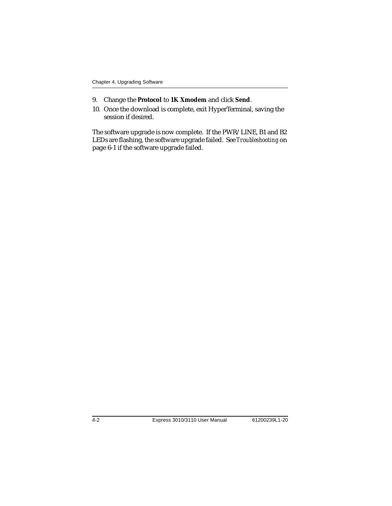#### 9. Change the **Protocol** to **1K Xmodem** and click **Send**.

10. Once the download is complete, exit HyperTerminal, saving the session if desired.

The software upgrade is now complete. If the PWR/LINE, B1 and B2 LEDs are flashing, the software upgrade failed. See *Troubleshooting* on page 6-1 if the software upgrade failed.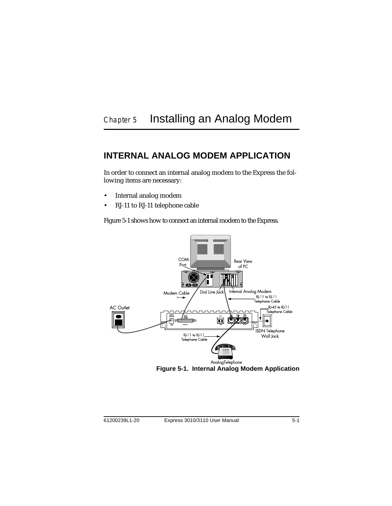# Chapter 5 Installing an Analog Modem

### **INTERNAL ANALOG MODEM APPLICATION**

In order to connect an internal analog modem to the Express the following items are necessary:

- Internal analog modem
- RJ-11 to RJ-11 telephone cable

Figure 5-1 shows how to connect an internal modem to the Express.



**Figure 5-1. Internal Analog Modem Application**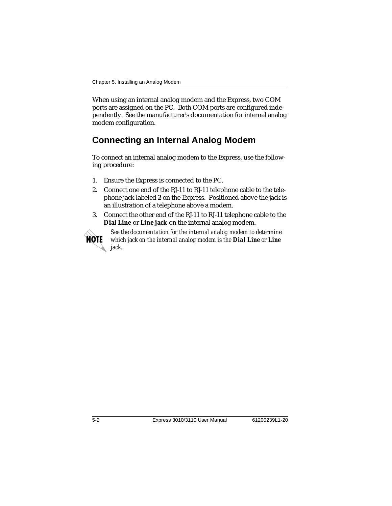When using an internal analog modem and the Express, two COM ports are assigned on the PC. Both COM ports are configured independently. See the manufacturer's documentation for internal analog modem configuration.

### **Connecting an Internal Analog Modem**

To connect an internal analog modem to the Express, use the following procedure:

- 1. Ensure the Express is connected to the PC.
- 2. Connect one end of the RJ-11 to RJ-11 telephone cable to the telephone jack labeled **2** on the Express. Positioned above the jack is an illustration of a telephone above a modem.
- 3. Connect the other end of the RJ-11 to RJ-11 telephone cable to the **Dial Line** or **Line jack** on the internal analog modem.



*See the documentation for the internal analog modem to determine which jack on the internal analog modem is the Dial Line or Line jack.*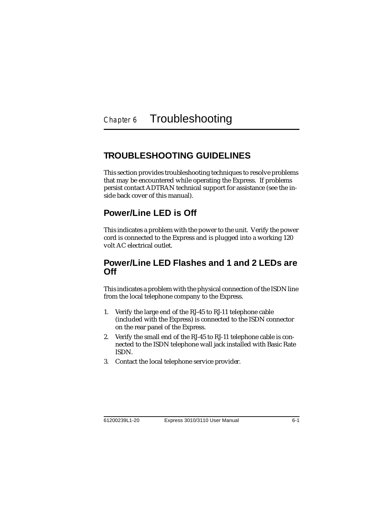# Chapter 6 Troubleshooting

# **TROUBLESHOOTING GUIDELINES**

This section provides troubleshooting techniques to resolve problems that may be encountered while operating the Express. If problems persist contact ADTRAN technical support for assistance (see the inside back cover of this manual).

# **Power/Line LED is Off**

This indicates a problem with the power to the unit. Verify the power cord is connected to the Express and is plugged into a working 120 volt AC electrical outlet.

### **Power/Line LED Flashes and 1 and 2 LEDs are Off**

This indicates a problem with the physical connection of the ISDN line from the local telephone company to the Express.

- 1. Verify the large end of the RJ-45 to RJ-11 telephone cable (included with the Express) is connected to the ISDN connector on the rear panel of the Express.
- 2. Verify the small end of the RJ-45 to RJ-11 telephone cable is connected to the ISDN telephone wall jack installed with Basic Rate ISDN.
- 3. Contact the local telephone service provider.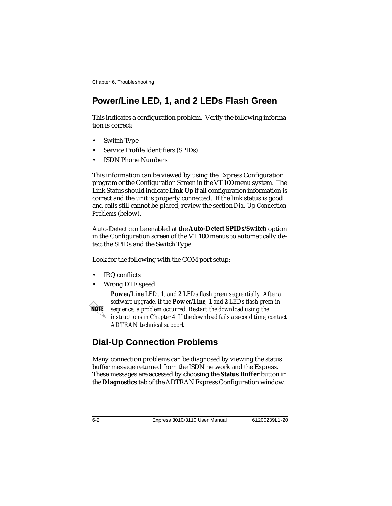### **Power/Line LED, 1, and 2 LEDs Flash Green**

This indicates a configuration problem. Verify the following information is correct:

- Switch Type
- Service Profile Identifiers (SPIDs)
- ISDN Phone Numbers

This information can be viewed by using the Express Configuration program or the Configuration Screen in the VT 100 menu system. The Link Status should indicate **Link Up** if all configuration information is correct and the unit is properly connected. If the link status is good and calls still cannot be placed, review the section *Dial-Up Connection Problems* (below).

Auto-Detect can be enabled at the **Auto-Detect SPIDs/Switch** option in the Configuration screen of the VT 100 menus to automatically detect the SPIDs and the Switch Type.

Look for the following with the COM port setup:

- IRQ conflicts
- Wrong DTE speed

*Power/Line LED, 1, and 2 LEDs flash green sequentially. After a software upgrade, if the Power/Line, 1 and 2 LEDs flash green in* 



*sequence, a problem occurred. Restart the download using the instructions in Chapter 4. If the download fails a second time, contact ADTRAN technical support.*

# **Dial-Up Connection Problems**

Many connection problems can be diagnosed by viewing the status buffer message returned from the ISDN network and the Express. These messages are accessed by choosing the **Status Buffer** button in the **Diagnostics** tab of the ADTRAN Express Configuration window.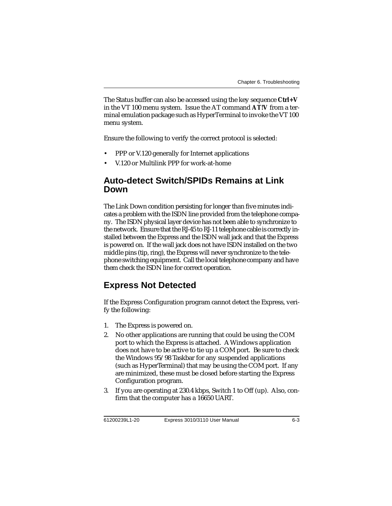The Status buffer can also be accessed using the key sequence **Ctrl+V** in the VT 100 menu system. Issue the AT command **AT!V** from a terminal emulation package such as HyperTerminal to invoke the VT 100 menu system.

Ensure the following to verify the correct protocol is selected:

- PPP or V.120 generally for Internet applications
- V.120 or Multilink PPP for work-at-home

### **Auto-detect Switch/SPIDs Remains at Link Down**

The Link Down condition persisting for longer than five minutes indicates a problem with the ISDN line provided from the telephone company. The ISDN physical layer device has not been able to synchronize to the network. Ensure that the RJ-45 to RJ-11 telephone cable is correctly installed between the Express and the ISDN wall jack and that the Express is powered on. If the wall jack does not have ISDN installed on the two middle pins (tip, ring), the Express will never synchronize to the telephone switching equipment. Call the local telephone company and have them check the ISDN line for correct operation.

### **Express Not Detected**

If the Express Configuration program cannot detect the Express, verify the following:

- 1. The Express is powered on.
- 2. No other applications are running that could be using the COM port to which the Express is attached. A Windows application does not have to be active to tie up a COM port. Be sure to check the Windows 95/98 Taskbar for any suspended applications (such as HyperTerminal) that may be using the COM port. If any are minimized, these must be closed before starting the Express Configuration program.
- 3. If you are operating at 230.4 kbps, Switch 1 to Off (up). Also, confirm that the computer has a 16650 UART.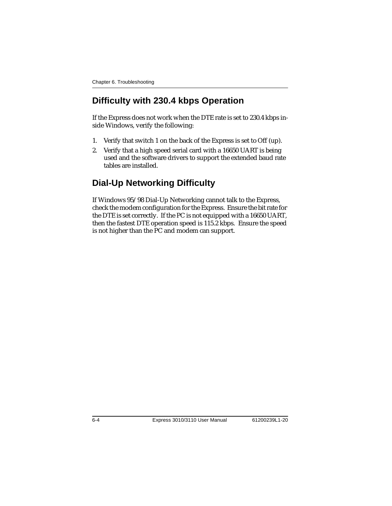### **Difficulty with 230.4 kbps Operation**

If the Express does not work when the DTE rate is set to 230.4 kbps inside Windows, verify the following:

- 1. Verify that switch 1 on the back of the Express is set to Off (up).
- 2. Verify that a high speed serial card with a 16650 UART is being used and the software drivers to support the extended baud rate tables are installed.

### **Dial-Up Networking Difficulty**

If Windows 95/98 Dial-Up Networking cannot talk to the Express, check the modem configuration for the Express. Ensure the bit rate for the DTE is set correctly. If the PC is not equipped with a 16650 UART, then the fastest DTE operation speed is 115.2 kbps. Ensure the speed is not higher than the PC and modem can support.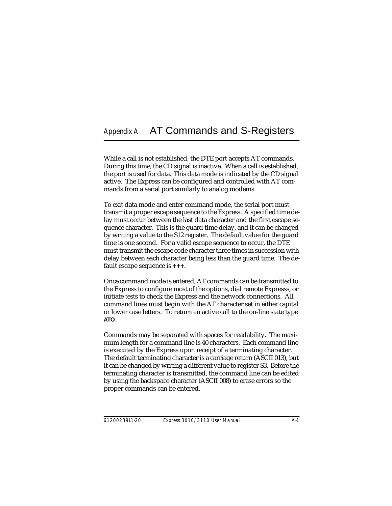# Appendix A AT Commands and S-Registers

While a call is not established, the DTE port accepts AT commands. During this time, the CD signal is inactive. When a call is established, the port is used for data. This data mode is indicated by the CD signal active. The Express can be configured and controlled with AT commands from a serial port similarly to analog modems.

To exit data mode and enter command mode, the serial port must transmit a proper escape sequence to the Express. A specified time delay must occur between the last data character and the first escape sequence character. This is the guard time delay, and it can be changed by writing a value to the S12 register. The default value for the guard time is one second. For a valid escape sequence to occur, the DTE must transmit the escape code character three times in succession with delay between each character being less than the guard time. The default escape sequence is **+++**.

Once command mode is entered, AT commands can be transmitted to the Express to configure most of the options, dial remote Expresss, or initiate tests to check the Express and the network connections. All command lines must begin with the AT character set in either capital or lower case letters. To return an active call to the on-line state type **ATO**.

Commands may be separated with spaces for readability. The maximum length for a command line is 40 characters. Each command line is executed by the Express upon receipt of a terminating character. The default terminating character is a carriage return (ASCII 013), but it can be changed by writing a different value to register S3. Before the terminating character is transmitted, the command line can be edited by using the backspace character (ASCII 008) to erase errors so the proper commands can be entered.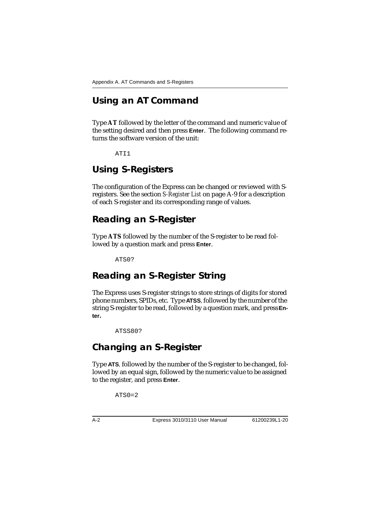### **Using an AT Command**

Type **AT** followed by the letter of the command and numeric value of the setting desired and then press **Enter**. The following command returns the software version of the unit:

ATI1

### **Using S-Registers**

The configuration of the Express can be changed or reviewed with Sregisters. See the section *S-Register List* on page A-9 for a description of each S-register and its corresponding range of values.

### **Reading an S-Register**

Type **ATS** followed by the number of the S-register to be read followed by a question mark and press **Enter**.

ATS0?

### **Reading an S-Register String**

The Express uses S-register strings to store strings of digits for stored phone numbers, SPIDs, etc. Type **ATSS**, followed by the number of the string S-register to be read, followed by a question mark, and press **Enter.**

ATSS80?

# **Changing an S-Register**

Type **ATS**, followed by the number of the S-register to be changed, followed by an equal sign, followed by the numeric value to be assigned to the register, and press **Enter**.

 $ATSO=2$ 

A-2 Express 3010/3110 User Manual 61200239L1-20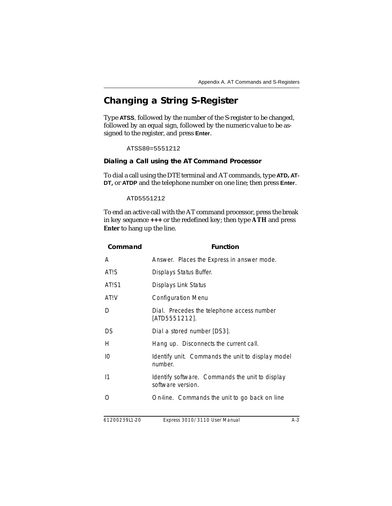## **Changing a String S-Register**

Type **ATSS**, followed by the number of the S-register to be changed, followed by an equal sign, followed by the numeric value to be assigned to the register, and press **Enter**.

ATSS80=5551212

#### **Dialing a Call using the AT Command Processor**

To dial a call using the DTE terminal and AT commands, type **ATD, AT-DT,** or **ATDP** and the telephone number on one line; then press **Enter**.

ATD5551212

To end an active call with the AT command processor, press the break in key sequence **+++** or the redefined key; then type **ATH** and press **Enter** to hang up the line.

| Command      | <b>Function</b>                                                      |  |  |
|--------------|----------------------------------------------------------------------|--|--|
| A            | Answer. Places the Express in answer mode.                           |  |  |
| AT!S         | Displays Status Buffer.                                              |  |  |
| AT!S1        | Displays Link Status                                                 |  |  |
| AT!V         | <b>Configuration Menu</b>                                            |  |  |
| D            | Dial. Precedes the telephone access number<br>[ATD5551212].          |  |  |
| DS           | Dial a stored number [DS3].                                          |  |  |
| Н            | Hang up. Disconnects the current call.                               |  |  |
| IО           | Identify unit. Commands the unit to display model<br>number.         |  |  |
| $\mathsf{I}$ | Identify software. Commands the unit to display<br>software version. |  |  |
| Ο            | On-line. Commands the unit to go back on line                        |  |  |
|              |                                                                      |  |  |

61200239L1-20 Express 3010/3110 User Manual A-3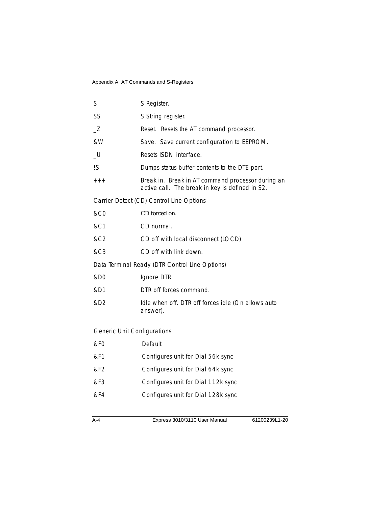| S                                              | S Register.                                                                                          |  |
|------------------------------------------------|------------------------------------------------------------------------------------------------------|--|
| SS                                             | S String register.                                                                                   |  |
| Z                                              | Reset. Resets the AT command processor.                                                              |  |
| &W                                             | Save. Save current configuration to EEPROM.                                                          |  |
| $\_$ U                                         | Resets ISDN interface.                                                                               |  |
| !S                                             | Dumps status buffer contents to the DTE port.                                                        |  |
| $++++$                                         | Break in. Break in AT command processor during an<br>active call. The break in key is defined in S2. |  |
|                                                | Carrier Detect (CD) Control Line Options                                                             |  |
| &CO                                            | CD forced on.                                                                                        |  |
| &C1                                            | CD normal.                                                                                           |  |
| &C2                                            | CD off with local disconnect (LOCD)                                                                  |  |
| &C3                                            | CD off with link down.                                                                               |  |
| Data Terminal Ready (DTR Control Line Options) |                                                                                                      |  |
| &DO                                            | Ignore DTR                                                                                           |  |
| &D1                                            | DTR off forces command.                                                                              |  |
| &D2                                            | Idle when off. DTR off forces idle (On allows auto<br>answer).                                       |  |
| Generic Unit Configurations                    |                                                                                                      |  |
| &FO                                            | Default                                                                                              |  |
| &F1                                            | Configures unit for Dial 56k sync                                                                    |  |
| &F2                                            | Configures unit for Dial 64k sync                                                                    |  |
| &F3                                            | Configures unit for Dial 112k sync                                                                   |  |
| &F4                                            | Configures unit for Dial 128k sync                                                                   |  |
|                                                |                                                                                                      |  |

A-4 Express 3010/3110 User Manual 61200239L1-20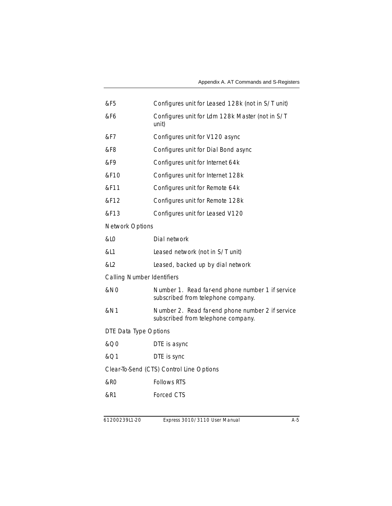| &F5                               | Configures unit for Leased 128k (not in S/T unit)                                      |  |
|-----------------------------------|----------------------------------------------------------------------------------------|--|
| &F6                               | Configures unit for Ldm 128k Master (not in S/T<br>unit)                               |  |
| &F7                               | Configures unit for V120 async                                                         |  |
| &F8                               | Configures unit for Dial Bond async                                                    |  |
| &F9                               | Configures unit for Internet 64k                                                       |  |
| &F10                              | Configures unit for Internet 128k                                                      |  |
| &F11                              | Configures unit for Remote 64k                                                         |  |
| &F12                              | Configures unit for Remote 128k                                                        |  |
| &F13                              | Configures unit for Leased V120                                                        |  |
| <b>Network Options</b>            |                                                                                        |  |
| &LO                               | Dial network                                                                           |  |
| &L1                               | Leased network (not in S/T unit)                                                       |  |
| &L2                               | Leased, backed up by dial network                                                      |  |
| <b>Calling Number Identifiers</b> |                                                                                        |  |
| <b>&amp;NO</b>                    | Number 1. Read far-end phone number 1 if service<br>subscribed from telephone company. |  |
| &N1                               | Number 2. Read far-end phone number 2 if service<br>subscribed from telephone company. |  |
| DTE Data Type Options             |                                                                                        |  |
| &Q0                               | DTE is async                                                                           |  |
| &Q1                               | DTE is sync                                                                            |  |
|                                   | Clear-To-Send (CTS) Control Line Options                                               |  |
| &RO                               | <b>Follows RTS</b>                                                                     |  |
| &R1                               | <b>Forced CTS</b>                                                                      |  |

61200239L1-20 Express 3010/3110 User Manual A-5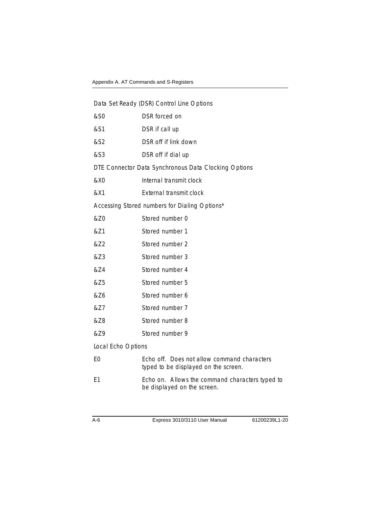| Data Set Ready (DSR) Control Line Options |                                                                                     |  |
|-------------------------------------------|-------------------------------------------------------------------------------------|--|
| <b>&amp;SO</b>                            | DSR forced on                                                                       |  |
| &S1                                       | DSR if call up                                                                      |  |
| &S2                                       | DSR off if link down                                                                |  |
| &S3                                       | DSR off if dial up                                                                  |  |
|                                           | DTE Connector Data Synchronous Data Clocking Options                                |  |
| &XO                                       | Internal transmit clock                                                             |  |
| &X1                                       | External transmit clock                                                             |  |
|                                           | Accessing Stored numbers for Dialing Options*                                       |  |
| &Z0                                       | Stored number 0                                                                     |  |
| &Z1                                       | Stored number 1                                                                     |  |
| &Z2                                       | Stored number 2                                                                     |  |
| &Z3                                       | Stored number 3                                                                     |  |
| &Z4                                       | Stored number 4                                                                     |  |
| &Z5                                       | Stored number 5                                                                     |  |
| &Z6                                       | Stored number 6                                                                     |  |
| &Z7                                       | Stored number 7                                                                     |  |
| &Z8                                       | Stored number 8                                                                     |  |
| &Z9                                       | Stored number 9                                                                     |  |
| Local Echo Options                        |                                                                                     |  |
| EO                                        | Echo off. Does not allow command characters<br>typed to be displayed on the screen. |  |
| E1                                        | Echo on. Allows the command characters typed to<br>be displayed on the screen.      |  |
|                                           |                                                                                     |  |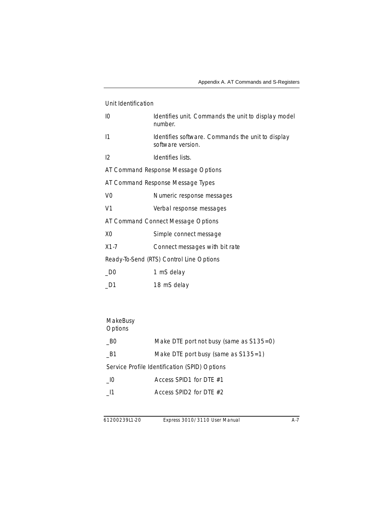Unit Identification

| $\overline{10}$                          | Identifies unit. Commands the unit to display model<br>number.         |  |
|------------------------------------------|------------------------------------------------------------------------|--|
| $\vert$ 1                                | Identifies software. Commands the unit to display<br>software version. |  |
| $\overline{2}$                           | Identifies lists.                                                      |  |
| AT Command Response Message Options      |                                                                        |  |
|                                          | AT Command Response Message Types                                      |  |
| V <sub>0</sub>                           | Numeric response messages                                              |  |
| V <sub>1</sub>                           | Verbal response messages                                               |  |
|                                          | AT Command Connect Message Options                                     |  |
| XO                                       | Simple connect message                                                 |  |
| $X1-7$                                   | Connect messages with bit rate                                         |  |
| Ready-To-Send (RTS) Control Line Options |                                                                        |  |
| DO                                       | 1 mS delay                                                             |  |
| D1                                       | 18 mS delay                                                            |  |
|                                          |                                                                        |  |

| MakeBusy<br>Options |                                               |
|---------------------|-----------------------------------------------|
| - BO                | Make DTE port not busy (same as $$135=0$ )    |
| - B1                | Make DTE port busy (same as $S135=1$ )        |
|                     | Service Profile Identification (SPID) Options |
| - 10                | Access SPID1 for DTE $#1$                     |
| - 11                | Access SPID2 for DTE $#2$                     |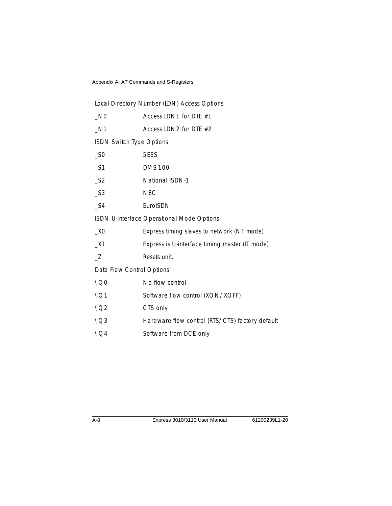| Local Directory Number (LDN) Access Options     |  |
|-------------------------------------------------|--|
| Access LDN1 for DTE #1                          |  |
| Access LDN2 for DTE #2                          |  |
| ISDN Switch Type Options                        |  |
| 5ESS                                            |  |
| <b>DMS-100</b>                                  |  |
| National ISDN-1                                 |  |
| <b>NEC</b>                                      |  |
| EuroISDN                                        |  |
| ISDN U-interface Operational Mode Options       |  |
| Express timing slaves to network (NT mode)      |  |
| Express is U-interface timing master (LT mode)  |  |
| Resets unit.                                    |  |
| Data Flow Control Options                       |  |
| No flow control                                 |  |
| Software flow control (XON/XOFF)                |  |
| CTS only                                        |  |
| Hardware flow control (RTS/CTS) factory default |  |
| Software from DCE only                          |  |
|                                                 |  |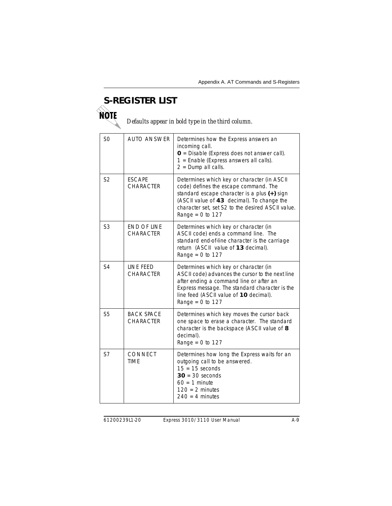## **S-REGISTER LIST**

# **NOTE**

*Defaults appear in bold type in the third column.*

| SO <sub>2</sub> | <b>AUTO ANSWER</b>                    | Determines how the Express answers an<br>incoming call.<br>$O =$ Disable (Express does not answer call).<br>1 = Enable (Express answers all calls).<br>$2 =$ Dump all calls.                                                                                  |
|-----------------|---------------------------------------|---------------------------------------------------------------------------------------------------------------------------------------------------------------------------------------------------------------------------------------------------------------|
| S <sub>2</sub>  | <b>ESCAPE</b><br><b>CHARACTER</b>     | Determines which key or character (in ASCII<br>code) defines the escape command. The<br>standard escape character is a plus (+) sign<br>(ASCII value of 43 decimal). To change the<br>character set, set S2 to the desired ASCII value.<br>Range = $0$ to 127 |
| S <sub>3</sub>  | END OF LINE<br><b>CHARACTER</b>       | Determines which key or character (in<br>ASCII code) ends a command line. The<br>standard end-of-line character is the carriage<br>return (ASCII value of 13 decimal).<br>Range = $0$ to 127                                                                  |
| S <sub>4</sub>  | LINE FEED<br><b>CHARACTER</b>         | Determines which key or character (in<br>ASCII code) advances the cursor to the next line<br>after ending a command line or after an<br>Express message. The standard character is the<br>line feed (ASCII value of 10 decimal).<br>Range = $0$ to 127        |
| S <sub>5</sub>  | <b>BACK SPACE</b><br><b>CHARACTER</b> | Determines which key moves the cursor back<br>one space to erase a character. The standard<br>character is the backspace (ASCII value of 8<br>decimal).<br>Range = $0$ to 127                                                                                 |
| S7              | <b>CONNECT</b><br><b>TIME</b>         | Determines how long the Express waits for an<br>outgoing call to be answered.<br>$15 = 15$ seconds<br>$30 = 30$ seconds<br>$60 = 1$ minute<br>$120 = 2$ minutes<br>$240 = 4$ minutes                                                                          |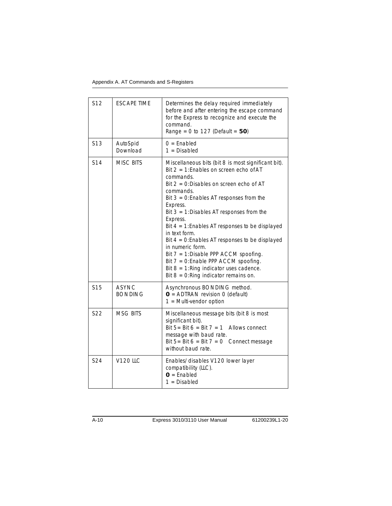Appendix A. AT Commands and S-Registers

| S <sub>12</sub> | <b>ESCAPE TIME</b>             | Determines the delay required immediately<br>before and after entering the escape command<br>for the Express to recognize and execute the<br>command.<br>Range = 0 to 127 (Default = $50$ )                                                                                                                                                                                                                                                                                                                                                                                                                                         |
|-----------------|--------------------------------|-------------------------------------------------------------------------------------------------------------------------------------------------------------------------------------------------------------------------------------------------------------------------------------------------------------------------------------------------------------------------------------------------------------------------------------------------------------------------------------------------------------------------------------------------------------------------------------------------------------------------------------|
| S13             | AutoSpid<br>Download           | $0 =$ Enabled<br>$1 = Disabled$                                                                                                                                                                                                                                                                                                                                                                                                                                                                                                                                                                                                     |
| S <sub>14</sub> | <b>MISC BITS</b>               | Miscellaneous bits (bit 8 is most significant bit).<br>Bit $2 = 1$ : Enables on screen echo of AT<br>commands.<br>Bit $2 = 0$ : Disables on screen echo of AT<br>commands.<br>Bit $3 = 0$ : Enables AT responses from the<br>Express.<br>Bit $3 = 1$ : Disables AT responses from the<br>Express.<br>Bit $4 = 1$ : Enables AT responses to be displayed<br>in text form.<br>Bit $4 = 0$ : Enables AT responses to be displayed<br>in numeric form.<br>Bit $7 = 1$ : Disable PPP ACCM spoofing.<br>Bit $7 = 0$ : Enable PPP ACCM spoofing.<br>Bit $8 = 1$ : Ring indicator uses cadence.<br>Bit $8 = 0$ : Ring indicator remains on. |
| S <sub>15</sub> | <b>ASYNC</b><br><b>BONDING</b> | Asynchronous BONDING method.<br>$O = ADTRAN$ revision O (default)<br>$1 = Multivendor option$                                                                                                                                                                                                                                                                                                                                                                                                                                                                                                                                       |
| S <sub>22</sub> | <b>MSG BITS</b>                | Miscellaneous message bits (bit 8 is most<br>significant bit).<br>Bit 5 = Bit 6 = Bit 7 = 1<br>Allows connect<br>message with baud rate.<br>Bit 5= Bit 6 = Bit 7 = 0 Connect message<br>without baud rate.                                                                                                                                                                                                                                                                                                                                                                                                                          |
| S24             | <b>V120 LLC</b>                | Enables/disables V120 lower layer<br>compatibility (LLC).<br>$O =$ Enabled<br>$1 = Disabled$                                                                                                                                                                                                                                                                                                                                                                                                                                                                                                                                        |

A-10 Express 3010/3110 User Manual 61200239L1-20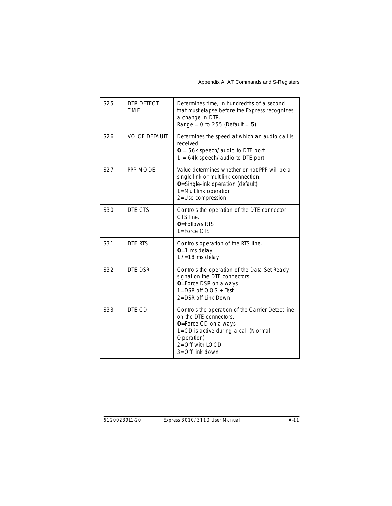Appendix A. AT Commands and S-Registers

| S <sub>25</sub> | DTR DETECT<br><b>TIME</b> | Determines time, in hundredths of a second,<br>that must elapse before the Express recognizes<br>a change in DTR.<br>Range = 0 to 255 (Default = $5$ )                                          |
|-----------------|---------------------------|-------------------------------------------------------------------------------------------------------------------------------------------------------------------------------------------------|
| S <sub>26</sub> | <b>VOICE DEFAULT</b>      | Determines the speed at which an audio call is<br>received<br>$0 = 56k$ speech/audio to DTE port<br>$1 = 64k$ speech/audio to DTE port                                                          |
| S <sub>27</sub> | PPP MODE                  | Value determines whether or not PPP will be a<br>single-link or multilink connection.<br>O=Single-link operation (default)<br>1=Multilink operation<br>2=Use compression                        |
| S30             | DTE CTS                   | Controls the operation of the DTE connector<br>CTS line.<br>$O =$ Follows RTS<br>$1 =$ Force CTS                                                                                                |
| S31             | DTE RTS                   | Controls operation of the RTS line.<br>$0=1$ ms delay<br>$17 = 18$ ms delay                                                                                                                     |
| S32             | DTE DSR                   | Controls the operation of the Data Set Ready<br>signal on the DTE connectors.<br>O=Force DSR on always<br>1=DSR off OOS + Test<br>2=DSR off Link Down                                           |
| S <sub>33</sub> | DTE CD                    | Controls the operation of the Carrier Detect line<br>on the DTE connectors.<br>O=Force CD on always<br>1=CD is active during a call (Normal<br>Operation)<br>2=Off with LOCD<br>3=Off link down |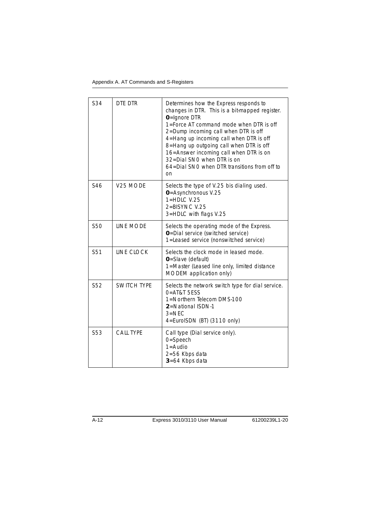Appendix A. AT Commands and S-Registers

| S34             | DTE DTR              | Determines how the Express responds to<br>changes in DTR. This is a bit-mapped register.<br><b>O</b> =Ignore DTR<br>1=Force AT command mode when DTR is off<br>2=Dump incoming call when DTR is off<br>4=Hang up incoming call when DTR is off<br>8=Hang up outgoing call when DTR is off<br>16=Answer incoming call when DTR is on<br>32=Dial SNO when DTR is on<br>64=Dial SNO when DTR transitions from off to<br>on |
|-----------------|----------------------|-------------------------------------------------------------------------------------------------------------------------------------------------------------------------------------------------------------------------------------------------------------------------------------------------------------------------------------------------------------------------------------------------------------------------|
| S46             | V <sub>25</sub> MODE | Selects the type of V.25 bis dialing used.<br>O=Asynchronous V.25<br>$1 = HDC V.25$<br>2=BISYNC V.25<br>3=HDLC with flags V.25                                                                                                                                                                                                                                                                                          |
| S <sub>50</sub> | <b>LINE MODE</b>     | Selects the operating mode of the Express.<br><b>O</b> =Dial service (switched service)<br>1=Leased service (nonswitched service)                                                                                                                                                                                                                                                                                       |
| S <sub>51</sub> | <b>LINE CLOCK</b>    | Selects the clock mode in leased mode.<br><b>O</b> =Slave (default)<br>1=Master (Leased line only, limited distance<br>MODEM application only)                                                                                                                                                                                                                                                                          |
| S <sub>52</sub> | <b>SWITCH TYPE</b>   | Selects the network switch type for dial service.<br>O=AT&T 5ESS<br>1=Northern Telecom DMS-100<br>2=National ISDN-1<br>$3 =$ NEC<br>4=EuroISDN (BT) (3110 only)                                                                                                                                                                                                                                                         |
| S <sub>53</sub> | <b>CALL TYPE</b>     | Call type (Dial service only).<br>$O = Spech$<br>$1 =$ Audio<br>2=56 Kbps data<br>$3 = 64$ Kbps data                                                                                                                                                                                                                                                                                                                    |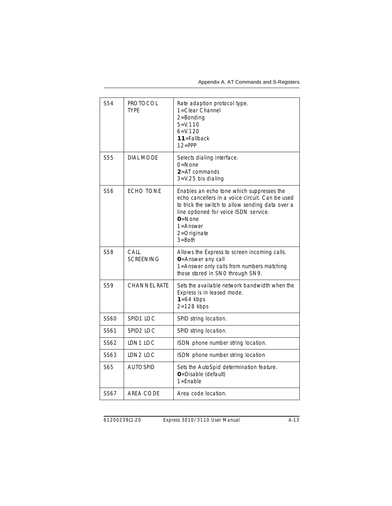Appendix A. AT Commands and S-Registers

| S54             | <b>PROTOCOL</b><br><b>TYPE</b> | Rate adaption protocol type.<br>1=Clear Channel<br>$2 =$ Bonding<br>$5 = V.110$<br>$6 = V.120$<br>11=Fallback<br>$12 = PPP$                                                                                                                          |
|-----------------|--------------------------------|------------------------------------------------------------------------------------------------------------------------------------------------------------------------------------------------------------------------------------------------------|
| S <sub>55</sub> | DIAL MODE                      | Selects dialing interface.<br>$0 =$ None<br>$2 = AT$ commands<br>3=V.25 bis dialing                                                                                                                                                                  |
| S <sub>56</sub> | <b>ECHO TONE</b>               | Enables an echo tone which suppresses the<br>echo cancellers in a voice circuit. Can be used<br>to trick the switch to allow sending data over a<br>line optioned for voice ISDN service.<br>$O =$ None<br>$1 =$ Answer<br>2=Originate<br>$3 =$ Both |
| S58             | CALL<br><b>SCREENING</b>       | Allows the Express to screen incoming calls.<br>O=Answer any call<br>1=Answer only calls from numbers matching<br>those stored in SNO through SN9.                                                                                                   |
| S59             | <b>CHANNEL RATE</b>            | Sets the available network bandwidth when the<br>Express is in leased mode.<br>$1 = 64$ kbps<br>$2=128$ kbps                                                                                                                                         |
| <b>SS60</b>     | SPID1 LOC                      | SPID string location.                                                                                                                                                                                                                                |
| SS61            | SPID <sub>2</sub> LOC          | SPID string location.                                                                                                                                                                                                                                |
| SS62            | LDN1 LOC                       | ISDN phone number string location.                                                                                                                                                                                                                   |
| SS63            | LDN2 LOC                       | ISDN phone number string location                                                                                                                                                                                                                    |
| S65             | <b>AUTOSPID</b>                | Sets the AutoSpid determination feature.<br>O=Disable (default)<br>$1 =$ Enable                                                                                                                                                                      |
|                 |                                |                                                                                                                                                                                                                                                      |

61200239L1-20 Express 3010/3110 User Manual A-13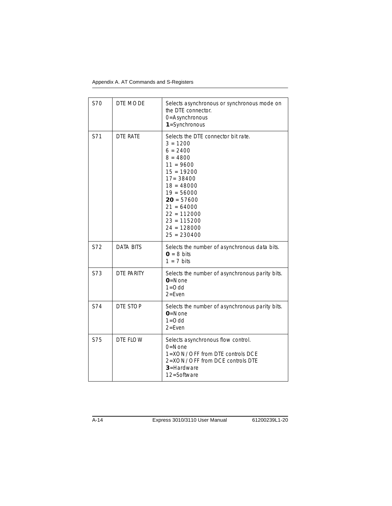Appendix A. AT Commands and S-Registers

| S70        | DTE MODE         | Selects asynchronous or synchronous mode on<br>the DTE connector.<br>0=Asynchronous<br>$1 =$ Synchronous                                                                                                                                                         |  |
|------------|------------------|------------------------------------------------------------------------------------------------------------------------------------------------------------------------------------------------------------------------------------------------------------------|--|
| S71        | DTE RATE         | Selects the DTE connector bit rate.<br>$3 = 1200$<br>$6 = 2400$<br>$8 = 4800$<br>$11 = 9600$<br>$15 = 19200$<br>$17 = 38400$<br>$18 = 48000$<br>$19 = 56000$<br>$20 = 57600$<br>$21 = 64000$<br>$22 = 112000$<br>$23 = 115200$<br>$24 = 128000$<br>$25 = 230400$ |  |
| S72        | <b>DATA BITS</b> | Selects the number of asynchronous data bits.<br>$\mathbf{0} = 8$ bits<br>$1 = 7$ bits                                                                                                                                                                           |  |
| S73        | DTE PARITY       | Selects the number of asynchronous parity bits.<br>$O =$ None<br>$1 = \text{Odd}$<br>$2 = Even$                                                                                                                                                                  |  |
| S74        | DTE STOP         | Selects the number of asynchronous parity bits.<br>$O =$ None<br>$1 = Odd$<br>$2 = E$ ven                                                                                                                                                                        |  |
| <b>S75</b> | DTE FLOW         | Selects asynchronous flow control.<br>$O = None$<br>1=XON/OFF from DTE controls DCE<br>2=XON/OFF from DCE controls DTE<br>3=Hardware<br>12=Software                                                                                                              |  |

A-14 Express 3010/3110 User Manual 61200239L1-20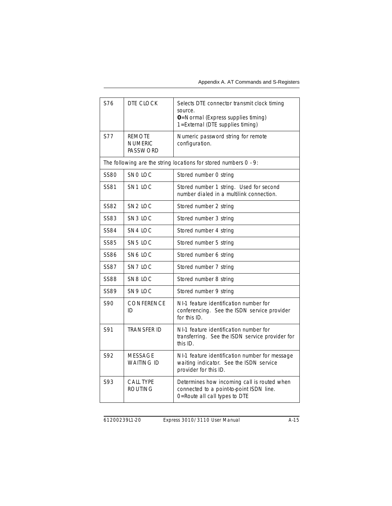Appendix A. AT Commands and S-Registers

| S76         | DTE CLOCK                                          | Selects DTE connector transmit clock timing<br>source.<br>O=Normal (Express supplies timing)<br>1=External (DTE supplies timing) |  |  |
|-------------|----------------------------------------------------|----------------------------------------------------------------------------------------------------------------------------------|--|--|
| S77         | <b>REMOTE</b><br><b>NUMERIC</b><br><b>PASSWORD</b> | Numeric password string for remote<br>configuration.                                                                             |  |  |
|             |                                                    | The following are the string locations for stored numbers $0 - 9$ :                                                              |  |  |
| <b>SS80</b> | SNO LOC                                            | Stored number 0 string                                                                                                           |  |  |
| <b>SS81</b> | SN1 LOC                                            | Stored number 1 string. Used for second<br>number dialed in a multilink connection.                                              |  |  |
| <b>SS82</b> | SN <sub>2</sub> LOC                                | Stored number 2 string                                                                                                           |  |  |
| SS83        | SN3 LOC                                            | Stored number 3 string                                                                                                           |  |  |
| <b>SS84</b> | SN4 LOC                                            | Stored number 4 string                                                                                                           |  |  |
| <b>SS85</b> | SN5 LOC                                            | Stored number 5 string                                                                                                           |  |  |
| <b>SS86</b> | SN6 LOC                                            | Stored number 6 string                                                                                                           |  |  |
| <b>SS87</b> | SN7 LOC                                            | Stored number 7 string                                                                                                           |  |  |
| <b>SS88</b> | SN8 LOC                                            | Stored number 8 string                                                                                                           |  |  |
| <b>SS89</b> | SN9 LOC                                            | Stored number 9 string                                                                                                           |  |  |
| <b>S90</b>  | CONFERENCE<br>ID                                   | NI-1 feature identification number for<br>conferencing. See the ISDN service provider<br>for this ID.                            |  |  |
| S91         | <b>TRANSFER ID</b>                                 | NI-1 feature identification number for<br>transferring. See the ISDN service provider for<br>this ID.                            |  |  |
| S92         | <b>MESSAGE</b><br><b>WAITING ID</b>                | NI-1 feature identification number for message<br>waiting indicator. See the ISDN service<br>provider for this ID.               |  |  |
| S93         | <b>CALL TYPE</b><br><b>ROUTING</b>                 | Determines how incoming call is routed when<br>connected to a point-to-point ISDN line.<br>O=Route all call types to DTE         |  |  |

61200239L1-20 Express 3010/3110 User Manual A-15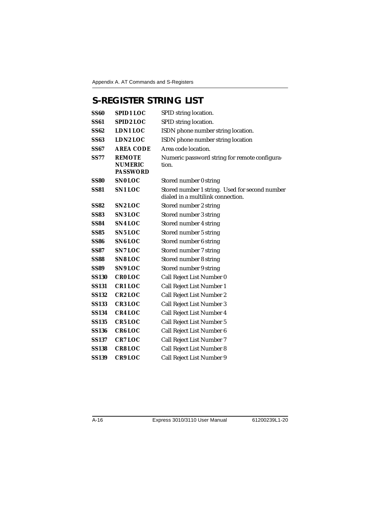## **S-REGISTER STRING LIST**

| <b>SS60</b>  | <b>SPID1 LOC</b>                                   | SPID string location.                                                               |  |  |
|--------------|----------------------------------------------------|-------------------------------------------------------------------------------------|--|--|
| <b>SS61</b>  | <b>SPID2 LOC</b>                                   | SPID string location.                                                               |  |  |
| <b>SS62</b>  | LDN1 LOC                                           | ISDN phone number string location.                                                  |  |  |
| <b>SS63</b>  | <b>LDN2 LOC</b>                                    | ISDN phone number string location                                                   |  |  |
| <b>SS67</b>  | <b>AREA CODE</b>                                   | Area code location.                                                                 |  |  |
| <b>SS77</b>  | <b>REMOTE</b><br><b>NUMERIC</b><br><b>PASSWORD</b> | Numeric password string for remote configura-<br>tion.                              |  |  |
| <b>SS80</b>  | <b>SNOLOC</b>                                      | Stored number 0 string                                                              |  |  |
| <b>SS81</b>  | <b>SN1LOC</b>                                      | Stored number 1 string. Used for second number<br>dialed in a multilink connection. |  |  |
| <b>SS82</b>  | <b>SN2LOC</b>                                      | Stored number 2 string                                                              |  |  |
| <b>SS83</b>  | <b>SN3 LOC</b>                                     | Stored number 3 string                                                              |  |  |
| <b>SS84</b>  | <b>SN4 LOC</b>                                     | Stored number 4 string                                                              |  |  |
| <b>SS85</b>  | <b>SN5 LOC</b>                                     | Stored number 5 string                                                              |  |  |
| <b>SS86</b>  | SN <sub>6</sub> LOC                                | Stored number 6 string                                                              |  |  |
| <b>SS87</b>  | SN7LOC                                             | Stored number 7 string                                                              |  |  |
| <b>SS88</b>  | <b>SN8LOC</b>                                      | Stored number 8 string                                                              |  |  |
| <b>SS89</b>  | SN9 LOC                                            | Stored number 9 string                                                              |  |  |
| <b>SS130</b> | <b>CROLOC</b>                                      | Call Reject List Number 0                                                           |  |  |
| <b>SS131</b> | <b>CR1 LOC</b>                                     | Call Reject List Number 1                                                           |  |  |
| <b>SS132</b> | <b>CR2 LOC</b>                                     | Call Reject List Number 2                                                           |  |  |
| <b>SS133</b> | <b>CR3 LOC</b>                                     | Call Reject List Number 3                                                           |  |  |
| <b>SS134</b> | <b>CR4 LOC</b>                                     | Call Reject List Number 4                                                           |  |  |
| <b>SS135</b> | <b>CR5 LOC</b>                                     | Call Reject List Number 5                                                           |  |  |
| <b>SS136</b> | CR <sub>6</sub> LOC                                | Call Reject List Number 6                                                           |  |  |
| <b>SS137</b> | <b>CR7LOC</b>                                      | Call Reject List Number 7                                                           |  |  |
| <b>SS138</b> | <b>CR8 LOC</b>                                     | Call Reject List Number 8                                                           |  |  |
| <b>SS139</b> | <b>CR9 LOC</b>                                     | Call Reject List Number 9                                                           |  |  |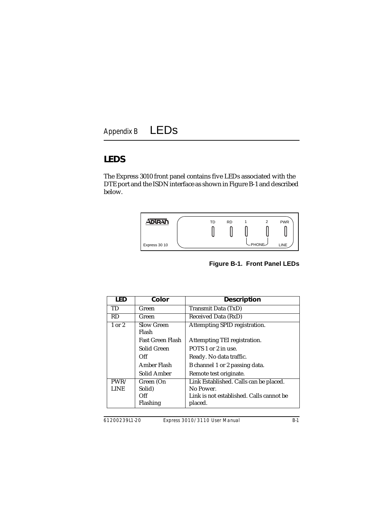Appendix B **LEDS** 

## **LEDS**

The Express 3010 front panel contains five LEDs associated with the DTE port and the ISDN interface as shown in Figure B-1 and described below.



**Figure B-1. Front Panel LEDs**

| LED         | Color                                                       | <b>Description</b>                       |  |
|-------------|-------------------------------------------------------------|------------------------------------------|--|
| TD          | Green                                                       | Transmit Data (TxD)                      |  |
| <b>RD</b>   | Green                                                       | Received Data (RxD)                      |  |
| $1$ or $2$  | <b>Slow Green</b><br>Attempting SPID registration.<br>Flash |                                          |  |
|             | <b>Fast Green Flash</b>                                     | Attempting TEI registration.             |  |
|             | Solid Green                                                 | POTS 1 or 2 in use.                      |  |
|             | Off                                                         | Ready. No data traffic.                  |  |
|             | Amber Flash                                                 | B channel 1 or 2 passing data.           |  |
|             | Solid Amber                                                 | Remote test originate.                   |  |
| PWR/        | Green (On                                                   | Link Established. Calls can be placed.   |  |
| <b>LINE</b> | Solid)                                                      | No Power.                                |  |
|             | Off                                                         | Link is not established. Calls cannot be |  |
|             | Flashing                                                    | placed.                                  |  |

61200239L1-20 Express 3010/3110 User Manual B-1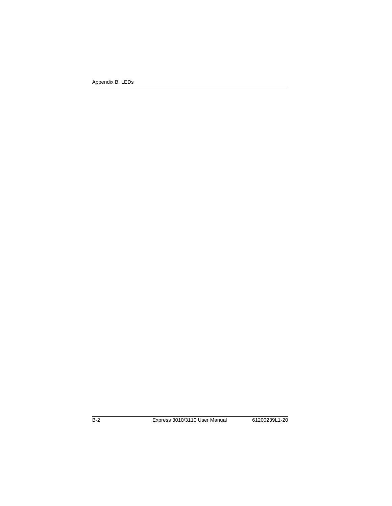Appendix B. LEDs

B-2 Express 3010/3110 User Manual 61200239L1-20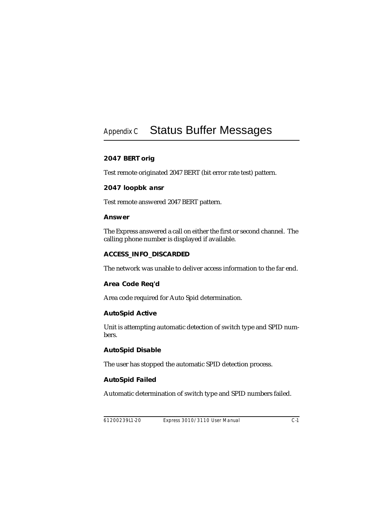# Appendix C Status Buffer Messages

## **2047 BERT orig**

Test remote originated 2047 BERT (bit error rate test) pattern.

## **2047 loopbk ansr**

Test remote answered 2047 BERT pattern.

## **Answer**

The Express answered a call on either the first or second channel. The calling phone number is displayed if available.

### **ACCESS\_INFO\_DISCARDED**

The network was unable to deliver access information to the far end.

## **Area Code Req'd**

Area code required for Auto Spid determination.

#### **AutoSpid Active**

Unit is attempting automatic detection of switch type and SPID numbers.

## **AutoSpid Disable**

The user has stopped the automatic SPID detection process.

## **AutoSpid Failed**

Automatic determination of switch type and SPID numbers failed.

61200239L1-20 Express 3010/3110 User Manual C-1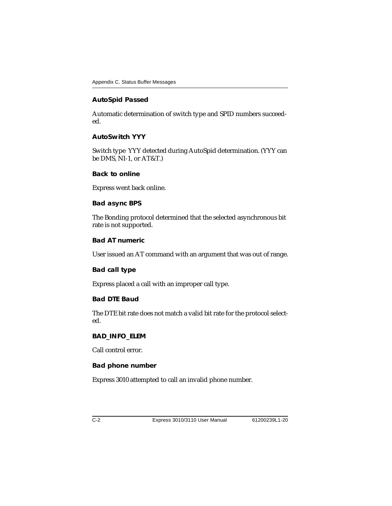## **AutoSpid Passed**

Automatic determination of switch type and SPID numbers succeeded.

## **AutoSwitch YYY**

Switch type YYY detected during AutoSpid determination. (YYY can be DMS, NI-1, or AT&T.)

## **Back to online**

Express went back online.

## **Bad async BPS**

The Bonding protocol determined that the selected asynchronous bit rate is not supported.

## **Bad AT numeric**

User issued an AT command with an argument that was out of range.

## **Bad call type**

Express placed a call with an improper call type.

## **Bad DTE Baud**

The DTE bit rate does not match a valid bit rate for the protocol selected.

#### **BAD\_INFO\_ELEM**

Call control error.

## **Bad phone number**

Express 3010 attempted to call an invalid phone number.

C-2 Express 3010/3110 User Manual 61200239L1-20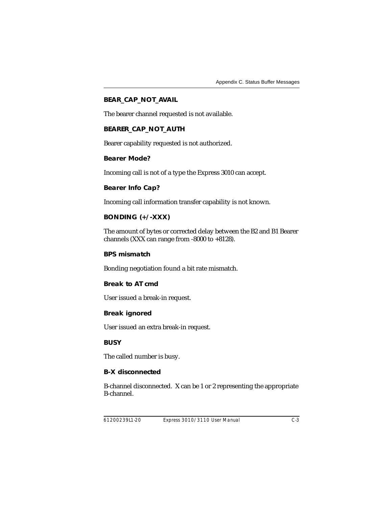#### **BEAR\_CAP\_NOT\_AVAIL**

The bearer channel requested is not available.

## **BEARER\_CAP\_NOT\_AUTH**

Bearer capability requested is not authorized.

#### **Bearer Mode?**

Incoming call is not of a type the Express 3010 can accept.

#### **Bearer Info Cap?**

Incoming call information transfer capability is not known.

#### **BONDING (+/-XXX)**

The amount of bytes or corrected delay between the B2 and B1 Bearer channels (XXX can range from -8000 to +8128).

#### **BPS mismatch**

Bonding negotiation found a bit rate mismatch.

#### **Break to AT cmd**

User issued a break-in request.

#### **Break ignored**

User issued an extra break-in request.

#### **BUSY**

The called number is busy.

## **B-X disconnected**

B-channel disconnected. X can be 1 or 2 representing the appropriate B-channel.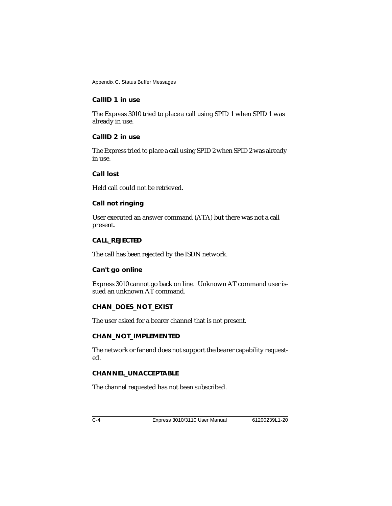#### **CallID 1 in use**

The Express 3010 tried to place a call using SPID 1 when SPID 1 was already in use.

#### **CallID 2 in use**

The Express tried to place a call using SPID 2 when SPID 2 was already in use.

#### **Call lost**

Held call could not be retrieved.

#### **Call not ringing**

User executed an answer command (ATA) but there was not a call present.

#### **CALL\_REJECTED**

The call has been rejected by the ISDN network.

#### **Can't go online**

Express 3010 cannot go back on line. Unknown AT command user issued an unknown AT command.

#### **CHAN\_DOES\_NOT\_EXIST**

The user asked for a bearer channel that is not present.

#### **CHAN\_NOT\_IMPLEMENTED**

The network or far end does not support the bearer capability requested.

## **CHANNEL\_UNACCEPTABLE**

The channel requested has not been subscribed.

C-4 Express 3010/3110 User Manual 61200239L1-20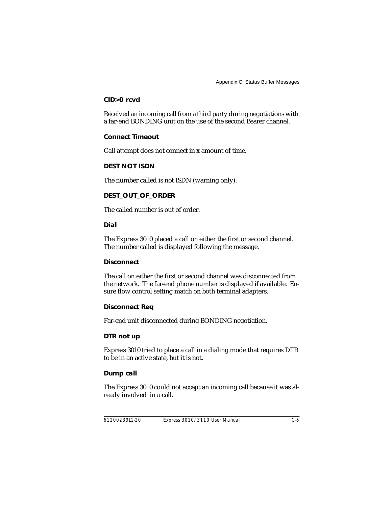#### **CID>0 rcvd**

Received an incoming call from a third party during negotiations with a far-end BONDING unit on the use of the second Bearer channel.

#### **Connect Timeout**

Call attempt does not connect in x amount of time.

## **DEST NOT ISDN**

The number called is not ISDN (warning only).

#### **DEST\_OUT\_OF\_ORDER**

The called number is out of order.

## **Dial**

The Express 3010 placed a call on either the first or second channel. The number called is displayed following the message.

## **Disconnect**

The call on either the first or second channel was disconnected from the network. The far-end phone number is displayed if available. Ensure flow control setting match on both terminal adapters.

#### **Disconnect Req**

Far-end unit disconnected during BONDING negotiation.

#### **DTR not up**

Express 3010 tried to place a call in a dialing mode that requires DTR to be in an active state, but it is not.

#### **Dump call**

The Express 3010 could not accept an incoming call because it was already involved in a call.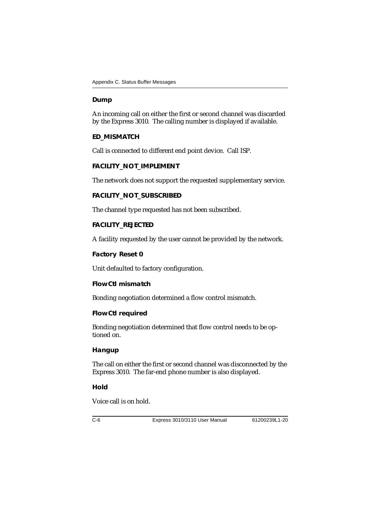#### **Dump**

An incoming call on either the first or second channel was discarded by the Express 3010. The calling number is displayed if available.

#### **ED\_MISMATCH**

Call is connected to different end point device. Call ISP.

## **FACILITY\_NOT\_IMPLEMENT**

The network does not support the requested supplementary service.

#### **FACILITY\_NOT\_SUBSCRIBED**

The channel type requested has not been subscribed.

## **FACILITY\_REJECTED**

A facility requested by the user cannot be provided by the network.

#### **Factory Reset 0**

Unit defaulted to factory configuration.

#### **FlowCtl mismatch**

Bonding negotiation determined a flow control mismatch.

#### **FlowCtl required**

Bonding negotiation determined that flow control needs to be optioned on.

#### **Hangup**

The call on either the first or second channel was disconnected by the Express 3010. The far-end phone number is also displayed.

### **Hold**

Voice call is on hold.

C-6 Express 3010/3110 User Manual 61200239L1-20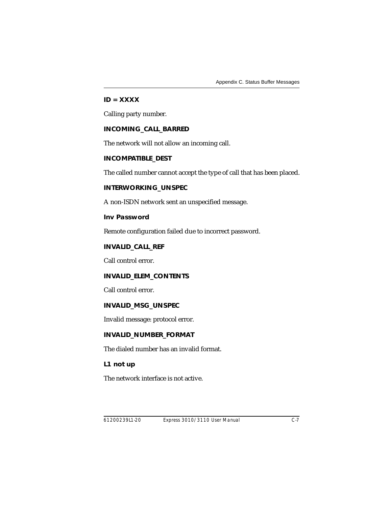## **ID = XXXX**

Calling party number.

## **INCOMING\_CALL\_BARRED**

The network will not allow an incoming call.

## **INCOMPATIBLE\_DEST**

The called number cannot accept the type of call that has been placed.

## **INTERWORKING\_UNSPEC**

A non-ISDN network sent an unspecified message.

## **Inv Password**

Remote configuration failed due to incorrect password.

## **INVALID\_CALL\_REF**

Call control error.

#### **INVALID\_ELEM\_CONTENTS**

Call control error.

## **INVALID\_MSG\_UNSPEC**

Invalid message: protocol error.

## **INVALID\_NUMBER\_FORMAT**

The dialed number has an invalid format.

## **L1 not up**

The network interface is not active.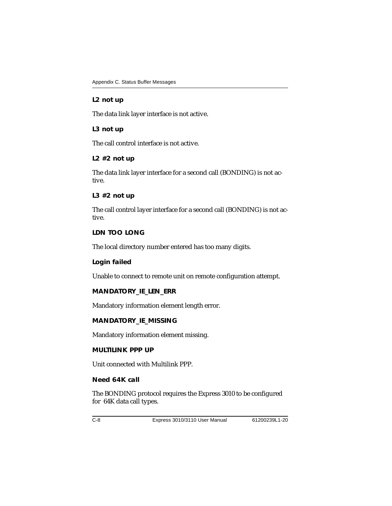#### **L2 not up**

The data link layer interface is not active.

#### **L3 not up**

The call control interface is not active.

#### **L2 #2 not up**

The data link layer interface for a second call (BONDING) is not active.

## **L3 #2 not up**

The call control layer interface for a second call (BONDING) is not active.

## **LDN TOO LONG**

The local directory number entered has too many digits.

#### **Login failed**

Unable to connect to remote unit on remote configuration attempt.

#### **MANDATORY\_IE\_LEN\_ERR**

Mandatory information element length error.

#### **MANDATORY\_IE\_MISSING**

Mandatory information element missing.

## **MULTILINK PPP UP**

Unit connected with Multilink PPP.

## **Need 64K call**

The BONDING protocol requires the Express 3010 to be configured for 64K data call types.

C-8 Express 3010/3110 User Manual 61200239L1-20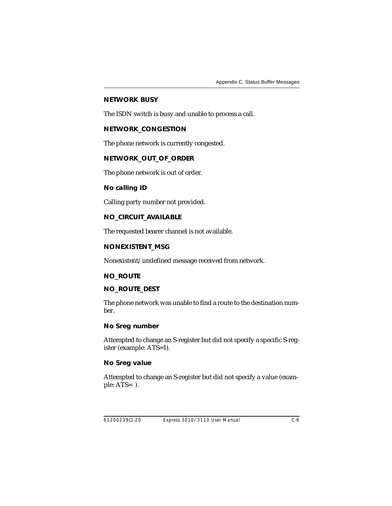### **NETWORK BUSY**

The ISDN switch is busy and unable to process a call.

#### **NETWORK\_CONGESTION**

The phone network is currently congested.

## **NETWORK\_OUT\_OF\_ORDER**

The phone network is out of order.

## **No calling ID**

Calling party number not provided.

#### **NO\_CIRCUIT\_AVAILABLE**

The requested bearer channel is not available.

## **NONEXISTENT\_MSG**

Nonexistent/undefined message received from network.

### **NO\_ROUTE**

## **NO\_ROUTE\_DEST**

The phone network was unable to find a route to the destination number.

#### **No Sreg number**

Attempted to change an S-register but did not specify a specific S-register (example: ATS=1).

## **No Sreg value**

Attempted to change an S-register but did not specify a value (example: ATS= ).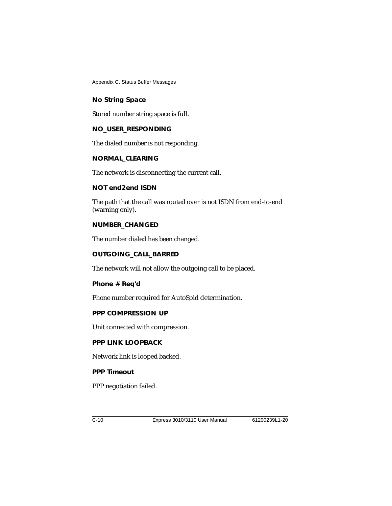#### **No String Space**

Stored number string space is full.

#### **NO\_USER\_RESPONDING**

The dialed number is not responding.

#### **NORMAL\_CLEARING**

The network is disconnecting the current call.

## **NOT end2end ISDN**

The path that the call was routed over is not ISDN from end-to-end (warning only).

## **NUMBER\_CHANGED**

The number dialed has been changed.

#### **OUTGOING\_CALL\_BARRED**

The network will not allow the outgoing call to be placed.

#### **Phone # Req'd**

Phone number required for AutoSpid determination.

## **PPP COMPRESSION UP**

Unit connected with compression.

## **PPP LINK LOOPBACK**

Network link is looped backed.

## **PPP Timeout**

PPP negotiation failed.

C-10 Express 3010/3110 User Manual 61200239L1-20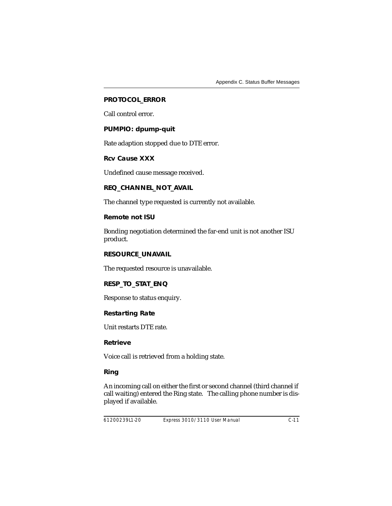#### **PROTOCOL\_ERROR**

Call control error.

#### **PUMPIO: dpump-quit**

Rate adaption stopped due to DTE error.

## **Rcv Cause XXX**

Undefined cause message received.

## **REQ\_CHANNEL\_NOT\_AVAIL**

The channel type requested is currently not available.

#### **Remote not ISU**

Bonding negotiation determined the far-end unit is not another ISU product.

## **RESOURCE\_UNAVAIL**

The requested resource is unavailable.

#### **RESP\_TO\_STAT\_ENQ**

Response to status enquiry.

## **Restarting Rate**

Unit restarts DTE rate.

#### **Retrieve**

Voice call is retrieved from a holding state.

## **Ring**

An incoming call on either the first or second channel (third channel if call waiting) entered the Ring state. The calling phone number is displayed if available.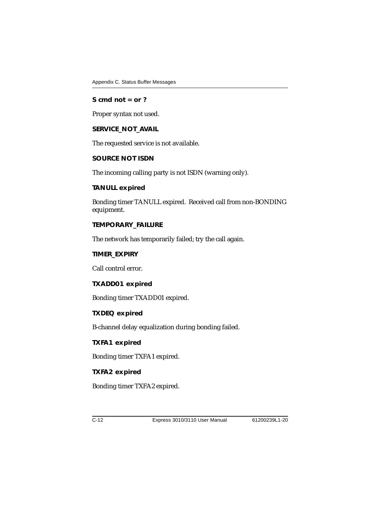## **S cmd not = or ?**

Proper syntax not used.

#### **SERVICE\_NOT\_AVAIL**

The requested service is not available.

## **SOURCE NOT ISDN**

The incoming calling party is not ISDN (warning only).

#### **TANULL expired**

Bonding timer TANULL expired. Received call from non-BONDING equipment.

## **TEMPORARY\_FAILURE**

The network has temporarily failed; try the call again.

#### **TIMER\_EXPIRY**

Call control error.

#### **TXADD01 expired**

Bonding timer TXADD01 expired.

## **TXDEQ expired**

B-channel delay equalization during bonding failed.

## **TXFA1 expired**

Bonding timer TXFA1 expired.

## **TXFA2 expired**

Bonding timer TXFA2 expired.

C-12 Express 3010/3110 User Manual 61200239L1-20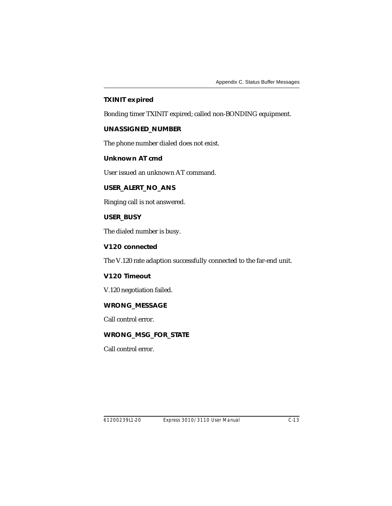## **TXINIT expired**

Bonding timer TXINIT expired; called non-BONDING equipment.

## **UNASSIGNED\_NUMBER**

The phone number dialed does not exist.

## **Unknown AT cmd**

User issued an unknown AT command.

## **USER\_ALERT\_NO\_ANS**

Ringing call is not answered.

## **USER\_BUSY**

The dialed number is busy.

## **V120 connected**

The V.120 rate adaption successfully connected to the far-end unit.

## **V120 Timeout**

V.120 negotiation failed.

## **WRONG\_MESSAGE**

Call control error.

## **WRONG\_MSG\_FOR\_STATE**

Call control error.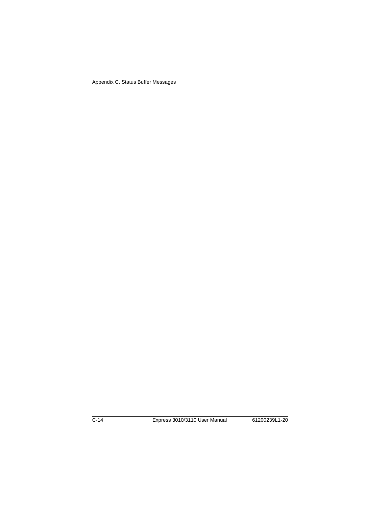Appendix C. Status Buffer Messages

C-14 Express 3010/3110 User Manual 61200239L1-20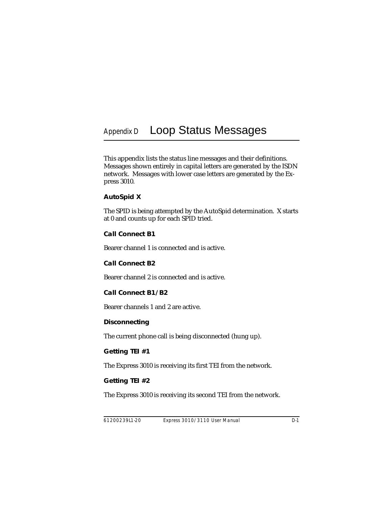## Appendix D Loop Status Messages

This appendix lists the status line messages and their definitions. Messages shown entirely in capital letters are generated by the ISDN network. Messages with lower case letters are generated by the Express 3010.

## **AutoSpid X**

The SPID is being attempted by the AutoSpid determination. X starts at 0 and counts up for each SPID tried.

## **Call Connect B1**

Bearer channel 1 is connected and is active.

## **Call Connect B2**

Bearer channel 2 is connected and is active.

## **Call Connect B1/B2**

Bearer channels 1 and 2 are active.

#### **Disconnecting**

The current phone call is being disconnected (hung up).

## **Getting TEI #1**

The Express 3010 is receiving its first TEI from the network.

## **Getting TEI #2**

The Express 3010 is receiving its second TEI from the network.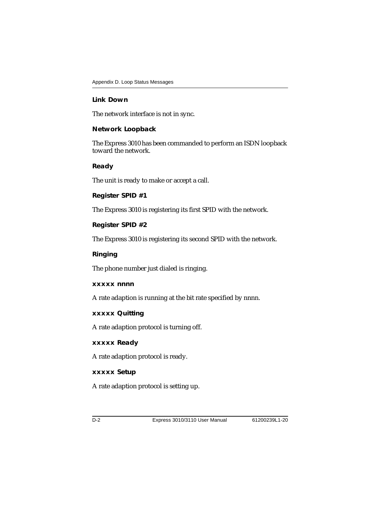#### **Link Down**

The network interface is not in sync.

#### **Network Loopback**

The Express 3010 has been commanded to perform an ISDN loopback toward the network.

#### **Ready**

The unit is ready to make or accept a call.

#### **Register SPID #1**

The Express 3010 is registering its first SPID with the network.

## **Register SPID #2**

The Express 3010 is registering its second SPID with the network.

#### **Ringing**

The phone number just dialed is ringing.

#### **xxxxx nnnn**

A rate adaption is running at the bit rate specified by nnnn.

## **xxxxx Quitting**

A rate adaption protocol is turning off.

## **xxxxx Ready**

A rate adaption protocol is ready.

## **xxxxx Setup**

A rate adaption protocol is setting up.

D-2 Express 3010/3110 User Manual 61200239L1-20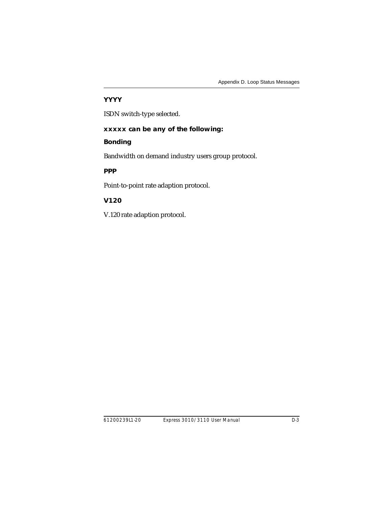## **YYYY**

ISDN switch-type selected.

## **xxxxx can be any of the following:**

## **Bonding**

Bandwidth on demand industry users group protocol.

#### **PPP**

Point-to-point rate adaption protocol.

## **V120**

V.120 rate adaption protocol.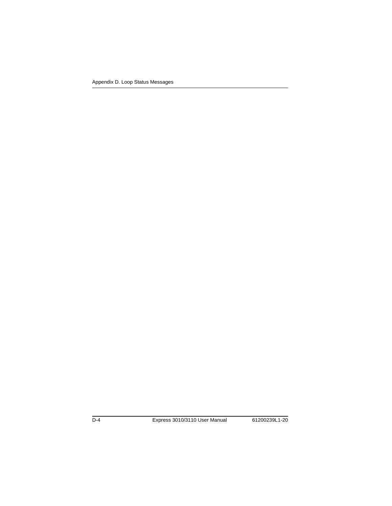Appendix D. Loop Status Messages

D-4 Express 3010/3110 User Manual 61200239L1-20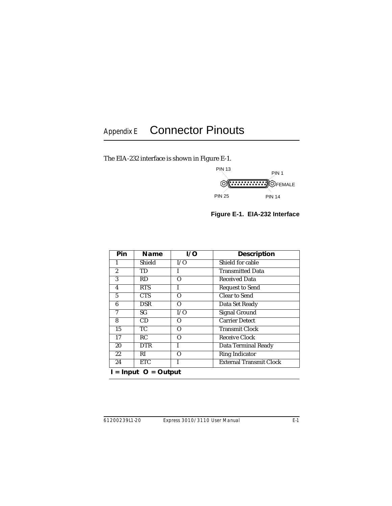# Appendix E Connector Pinouts

The EIA-232 interface is shown in Figure E-1.



**Figure E-1. EIA-232 Interface**

| Pin                    | <b>Name</b> | I/O      | <b>Description</b>             |  |
|------------------------|-------------|----------|--------------------------------|--|
| 1                      | Shield      | I/O      | Shield for cable               |  |
| $\overline{2}$         | TD          |          | <b>Transmitted Data</b>        |  |
| 3                      | <b>RD</b>   | Ω        | <b>Received Data</b>           |  |
| 4                      | <b>RTS</b>  |          | <b>Request to Send</b>         |  |
| 5                      | <b>CTS</b>  | $\Omega$ | Clear to Send                  |  |
| 6                      | <b>DSR</b>  | $\Omega$ | Data Set Ready                 |  |
| 7                      | SG          | I/O      | <b>Signal Ground</b>           |  |
| 8                      | CD          | O        | <b>Carrier Detect</b>          |  |
| 15                     | ТC          | O        | <b>Transmit Clock</b>          |  |
| 17                     | RC          | Ω        | <b>Receive Clock</b>           |  |
| 20                     | <b>DTR</b>  |          | Data Terminal Ready            |  |
| 22                     | RI          | O        | <b>Ring Indicator</b>          |  |
| 24                     | <b>ETC</b>  |          | <b>External Transmit Clock</b> |  |
| $I = Input$ O = Output |             |          |                                |  |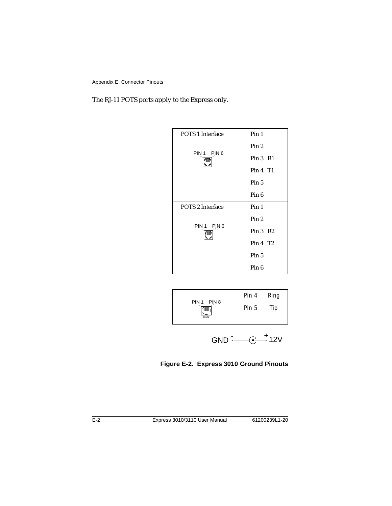The RJ-11 POTS ports apply to the Express only.

| <b>POTS 1 Interface</b> | Pin <sub>1</sub>     |
|-------------------------|----------------------|
|                         | Pin 2                |
| PIN 1 PIN 6             | Pin 3 R1             |
|                         | Pin 4 T1             |
|                         | Pin 5                |
|                         | Pin <sub>6</sub>     |
| <b>POTS 2 Interface</b> | Pin <sub>1</sub>     |
|                         | Pin 2                |
| PIN 1 PIN 6             | Pin 3 R2             |
|                         | Pin 4 T <sub>2</sub> |
|                         | Pin 5                |
|                         | Pin <sub>6</sub>     |
|                         |                      |



**Figure E-2. Express 3010 Ground Pinouts**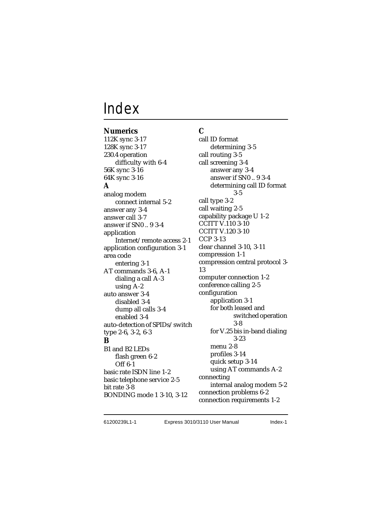# Index

#### **Numerics**

112K sync 3-17 128K sync 3-17 230.4 operation difficulty with 6-4 56K sync 3-16 64K sync 3-16 **A** analog modem connect internal 5-2 answer any 3-4 answer call 3-7 answer if SN0 .. 9 3-4 application Internet/remote access 2-1 application configuration 3-1 area code entering 3-1 AT commands 3-6, A-1 dialing a call A-3 using A-2 auto answer 3-4 disabled 3-4 dump all calls 3-4 enabled 3-4 auto-detection of SPIDs/switch type 2-6, 3-2, 6-3 **B** B1 and B2 LEDs flash green 6-2 Off 6-1 basic rate ISDN line 1-2 basic telephone service 2-5 bit rate 3-8 BONDING mode 1 3-10, 3-12

# **C**

call ID format determining 3-5 call routing 3-5 call screening 3-4 answer any 3-4 answer if SN0 .. 9 3-4 determining call ID format 3-5 call type 3-2 call waiting 2-5 capability package U 1-2 CCITT V.110 3-10 CCITT V.120 3-10 CCP 3-13 clear channel 3-10, 3-11 compression 1-1 compression central protocol 3- 13 computer connection 1-2 conference calling 2-5 configuration application 3-1 for both leased and switched operation 3-8 for V.25 bis in-band dialing 3-23 menu 2-8 profiles 3-14 quick setup 3-14 using AT commands A-2 connecting internal analog modem 5-2 connection problems 6-2 connection requirements 1-2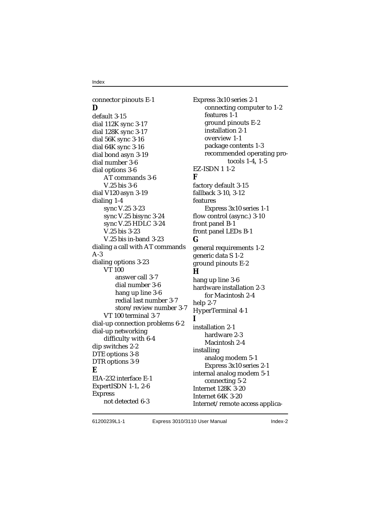#### connector pinouts E-1 **D** default 3-15 dial 112K sync 3-17 dial 128K sync 3-17 dial 56K sync 3-16 dial 64K sync 3-16 dial bond asyn 3-19 dial number 3-6 dial options 3-6 AT commands 3-6 V.25 bis 3-6 dial V120 asyn 3-19 dialing 1-4 sync V.25 3-23 sync V.25 bisync 3-24 sync V.25 HDLC 3-24 V.25 bis 3-23 V.25 bis in-band 3-23 dialing a call with AT commands A-3 dialing options 3-23 VT 100 answer call 3-7 dial number 3-6 hang up line 3-6 redial last number 3-7 store/review number 3-7 VT 100 terminal 3-7 dial-up connection problems 6-2 dial-up networking difficulty with 6-4 dip switches 2-2 DTE options 3-8 DTR options 3-9 **E** EIA-232 interface E-1 ExpertISDN 1-1, 2-6 Express

Express 3x10 series 2-1 connecting computer to 1-2 features 1-1 ground pinouts E-2 installation 2-1 overview 1-1 package contents 1-3 recommended operating protocols 1-4, 1-5 EZ-ISDN 1 1-2 **F** factory default 3-15 fallback 3-10, 3-12 features Express 3x10 series 1-1 flow control (async.) 3-10 front panel B-1 front panel LEDs B-1 **G** general requirements 1-2 generic data S 1-2 ground pinouts E-2 **H** hang up line 3-6 hardware installation 2-3 for Macintosh 2-4 help 2-7 HyperTerminal 4-1 **I** installation 2-1 hardware 2-3 Macintosh 2-4 installing analog modem 5-1 Express 3x10 series 2-1 internal analog modem 5-1 connecting 5-2 Internet 128K 3-20 Internet 64K 3-20 Internet/remote access applica-

not detected 6-3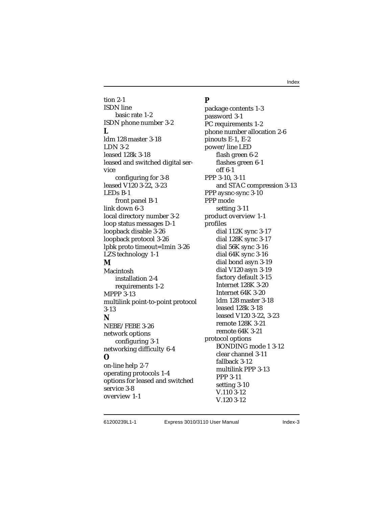Index

tion 2-1 ISDN line basic rate 1-2 ISDN phone number 3-2 **L** ldm 128 master 3-18 LDN 3-2 leased 128k 3-18 leased and switched digital service configuring for 3-8 leased V120 3-22, 3-23 LEDs B-1 front panel B-1 link down 6-3 local directory number 3-2 loop status messages D-1 loopback disable 3-26 loopback protocol 3-26 lpbk proto timeout=1min 3-26 LZS technology 1-1 **M** Macintosh installation 2-4 requirements 1-2 MPPP 3-13 multilink point-to-point protocol 3-13 **N** NEBE/FEBE 3-26 network options configuring 3-1 networking difficulty 6-4 **O** on-line help 2-7 operating protocols 1-4 options for leased and switched service 3-8 overview 1-1 **P** profiles

package contents 1-3 password 3-1 PC requirements 1-2 phone number allocation 2-6 pinouts E-1, E-2 power/line LED flash green 6-2 flashes green 6-1 off 6-1 PPP 3-10, 3-11 and STAC compression 3-13 PPP aysnc-sync 3-10 PPP mode setting 3-11 product overview 1-1 dial 112K sync 3-17 dial 128K sync 3-17 dial 56K sync 3-16 dial 64K sync 3-16 dial bond asyn 3-19 dial V120 asyn 3-19 factory default 3-15 Internet 128K 3-20 Internet 64K 3-20 ldm 128 master 3-18 leased 128k 3-18 leased V120 3-22, 3-23 remote 128K 3-21 remote 64K 3-21 protocol options BONDING mode 1 3-12 clear channel 3-11 fallback 3-12 multilink PPP 3-13 PPP 3-11 setting 3-10 V.110 3-12 V.120 3-12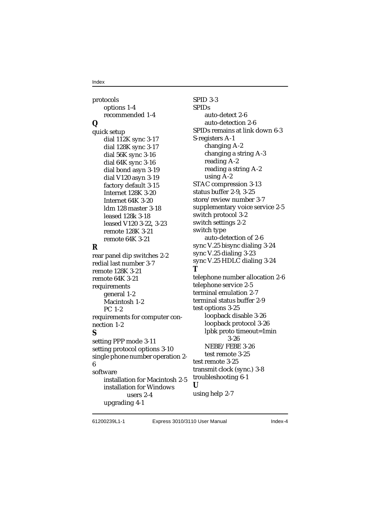protocols options 1-4 recommended 1-4 **Q** quick setup dial 112K sync 3-17 dial 128K sync 3-17 dial 56K sync 3-16 dial 64K sync 3-16 dial bond asyn 3-19 dial V120 asyn 3-19 factory default 3-15 Internet 128K 3-20 Internet 64K 3-20 ldm 128 master 3-18 leased 128k 3-18 leased V120 3-22, 3-23 remote 128K 3-21 remote 64K 3-21

## **R**

rear panel dip switches 2-2 redial last number 3-7 remote 128K 3-21 remote 64K 3-21 requirements general 1-2 Macintosh 1-2 PC 1-2 requirements for computer connection 1-2 **S** setting PPP mode 3-11 setting protocol options 3-10 single phone number operation 2- 6 software installation for Macintosh 2-5 installation for Windows users 2-4 upgrading 4-1

SPID 3-3 SPIDs auto-detect 2-6 auto-detection 2-6 SPIDs remains at link down 6-3 S-registers A-1 changing A-2 changing a string A-3 reading A-2 reading a string A-2 using A-2 STAC compression 3-13 status buffer 2-9, 3-25 store/review number 3-7 supplementary voice service 2-5 switch protocol 3-2 switch settings 2-2 switch type auto-detection of 2-6 sync V.25 bisync dialing 3-24 sync V.25 dialing 3-23 sync V.25 HDLC dialing 3-24 **T** telephone number allocation 2-6 telephone service 2-5 terminal emulation 2-7 terminal status buffer 2-9 test options 3-25 loopback disable 3-26 loopback protocol 3-26 lpbk proto timeout=1min 3-26 NEBE/FEBE 3-26 test remote 3-25 test remote 3-25 transmit clock (sync.) 3-8 troubleshooting 6-1 **U** using help 2-7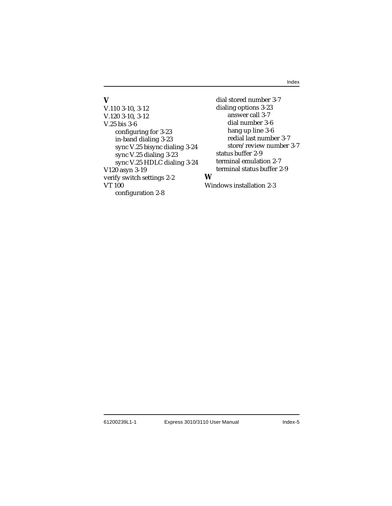## **V**

V.110 3-10, 3-12 V.120 3-10, 3-12 V.25 bis 3-6 configuring for 3-23 in-band dialing 3-23 sync V.25 bisync dialing 3-24 sync V.25 dialing 3-23 sync V.25 HDLC dialing 3-24 V120 asyn 3-19 verify switch settings 2-2 VT 100 configuration 2-8

dial stored number 3-7 dialing options 3-23 answer call 3-7 dial number 3-6 hang up line 3-6 redial last number 3-7 store/review number 3-7 status buffer 2-9 terminal emulation 2-7 terminal status buffer 2-9 **W**

Windows installation 2-3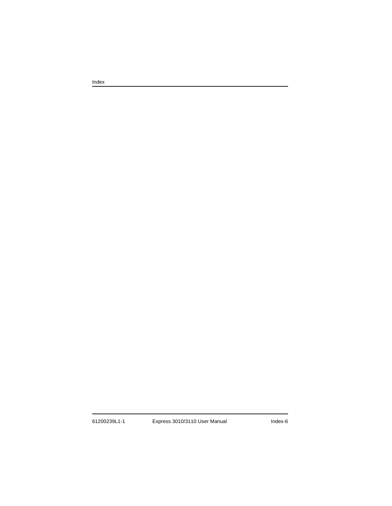Index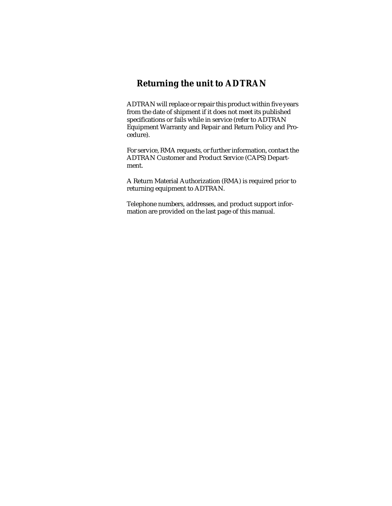# **Returning the unit to ADTRAN**

ADTRAN will replace or repair this product within five years from the date of shipment if it does not meet its published specifications or fails while in service (refer to ADTRAN Equipment Warranty and Repair and Return Policy and Procedure).

For service, RMA requests, or further information, contact the ADTRAN Customer and Product Service (CAPS) Department.

A Return Material Authorization (RMA) is required prior to returning equipment to ADTRAN.

Telephone numbers, addresses, and product support information are provided on the last page of this manual.